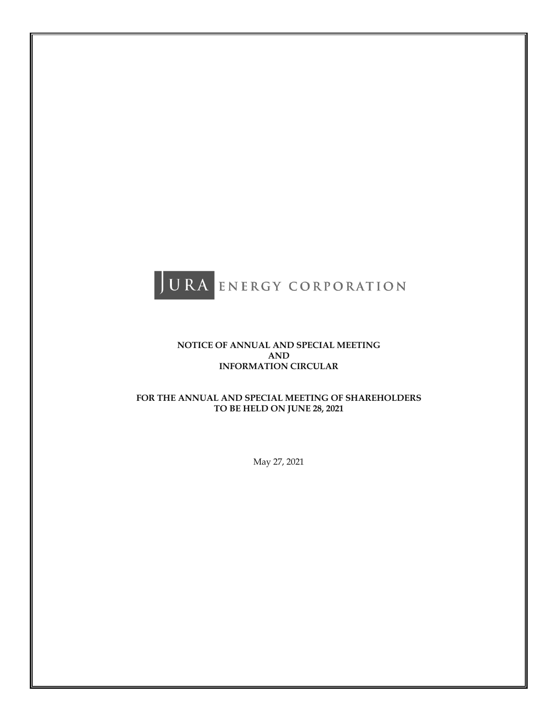

# **NOTICE OF ANNUAL AND SPECIAL MEETING AND INFORMATION CIRCULAR**

# **FOR THE ANNUAL AND SPECIAL MEETING OF SHAREHOLDERS TO BE HELD ON JUNE 28, 2021**

May 27, 2021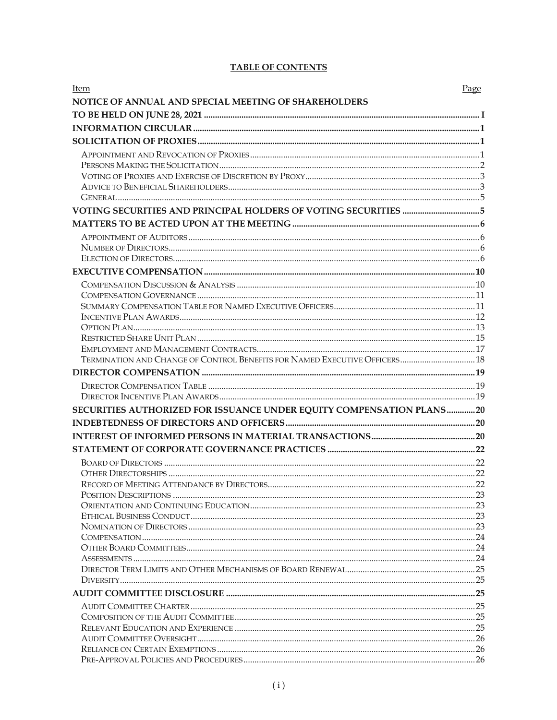# **TABLE OF CONTENTS**

| Item                                                                       | <u>Page</u> |
|----------------------------------------------------------------------------|-------------|
| NOTICE OF ANNUAL AND SPECIAL MEETING OF SHAREHOLDERS                       |             |
|                                                                            |             |
|                                                                            |             |
|                                                                            |             |
|                                                                            |             |
|                                                                            |             |
|                                                                            |             |
|                                                                            |             |
|                                                                            |             |
|                                                                            |             |
|                                                                            |             |
|                                                                            |             |
|                                                                            |             |
|                                                                            |             |
|                                                                            |             |
|                                                                            |             |
|                                                                            |             |
|                                                                            |             |
|                                                                            |             |
|                                                                            |             |
|                                                                            |             |
|                                                                            |             |
| TERMINATION AND CHANGE OF CONTROL BENEFITS FOR NAMED EXECUTIVE OFFICERS 18 |             |
|                                                                            |             |
|                                                                            |             |
|                                                                            |             |
|                                                                            |             |
| SECURITIES AUTHORIZED FOR ISSUANCE UNDER EQUITY COMPENSATION PLANS20       |             |
|                                                                            |             |
|                                                                            |             |
|                                                                            |             |
|                                                                            |             |
|                                                                            |             |
|                                                                            |             |
|                                                                            |             |
|                                                                            |             |
|                                                                            |             |
|                                                                            |             |
|                                                                            |             |
|                                                                            |             |
|                                                                            |             |
|                                                                            |             |
|                                                                            |             |
|                                                                            |             |
|                                                                            |             |
|                                                                            |             |
|                                                                            |             |
|                                                                            |             |
|                                                                            |             |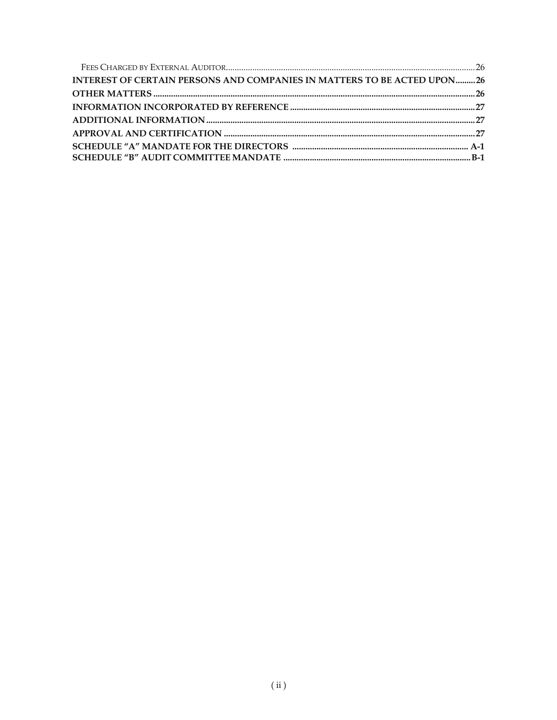| <b>INTEREST OF CERTAIN PERSONS AND COMPANIES IN MATTERS TO BE ACTED UPON26</b> |  |
|--------------------------------------------------------------------------------|--|
|                                                                                |  |
|                                                                                |  |
|                                                                                |  |
|                                                                                |  |
|                                                                                |  |
|                                                                                |  |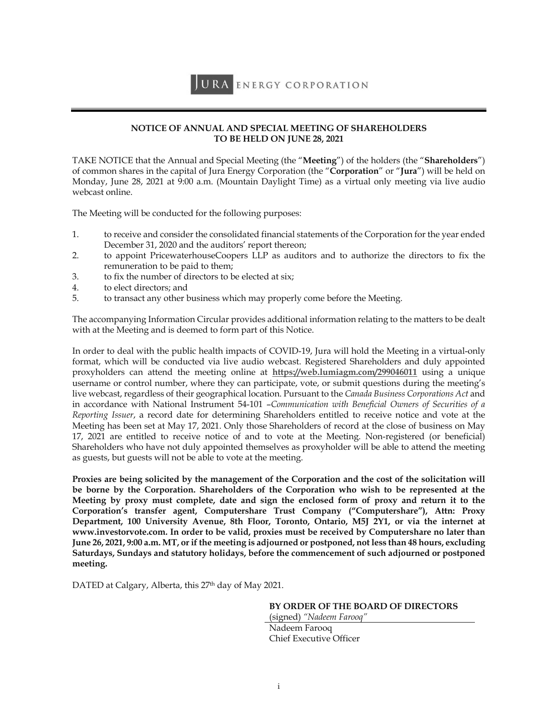# **NOTICE OF ANNUAL AND SPECIAL MEETING OF SHAREHOLDERS TO BE HELD ON JUNE 28, 2021**

TAKE NOTICE that the Annual and Special Meeting (the "**Meeting**") of the holders (the "**Shareholders**") of common shares in the capital of Jura Energy Corporation (the "**Corporation**" or "**Jura**") will be held on Monday, June 28, 2021 at 9:00 a.m. (Mountain Daylight Time) as a virtual only meeting via live audio webcast online.

The Meeting will be conducted for the following purposes:

- 1. to receive and consider the consolidated financial statements of the Corporation for the year ended December 31, 2020 and the auditors' report thereon;
- 2. to appoint PricewaterhouseCoopers LLP as auditors and to authorize the directors to fix the remuneration to be paid to them;
- 3. to fix the number of directors to be elected at six;
- 4. to elect directors; and
- 5. to transact any other business which may properly come before the Meeting.

The accompanying Information Circular provides additional information relating to the matters to be dealt with at the Meeting and is deemed to form part of this Notice.

In order to deal with the public health impacts of COVID-19, Jura will hold the Meeting in a virtual-only format, which will be conducted via live audio webcast. Registered Shareholders and duly appointed proxyholders can attend the meeting online at **https://web.lumiagm.com/299046011** using a unique username or control number, where they can participate, vote, or submit questions during the meeting's live webcast, regardless of their geographical location. Pursuant to the *Canada Business Corporations Act* and in accordance with National Instrument 54-101 –*Communication with Beneficial Owners of Securities of a Reporting Issuer*, a record date for determining Shareholders entitled to receive notice and vote at the Meeting has been set at May 17, 2021. Only those Shareholders of record at the close of business on May 17, 2021 are entitled to receive notice of and to vote at the Meeting. Non-registered (or beneficial) Shareholders who have not duly appointed themselves as proxyholder will be able to attend the meeting as guests, but guests will not be able to vote at the meeting.

**Proxies are being solicited by the management of the Corporation and the cost of the solicitation will be borne by the Corporation. Shareholders of the Corporation who wish to be represented at the Meeting by proxy must complete, date and sign the enclosed form of proxy and return it to the Corporation's transfer agent, Computershare Trust Company ("Computershare"), Attn: Proxy Department, 100 University Avenue, 8th Floor, Toronto, Ontario, M5J 2Y1, or via the internet at www.investorvote.com. In order to be valid, proxies must be received by Computershare no later than June 26, 2021, 9:00 a.m. MT, or if the meeting is adjourned or postponed, not less than 48 hours, excluding Saturdays, Sundays and statutory holidays, before the commencement of such adjourned or postponed meeting.** 

DATED at Calgary, Alberta, this 27<sup>th</sup> day of May 2021.

#### **BY ORDER OF THE BOARD OF DIRECTORS**

(signed) *"Nadeem Farooq"*  Nadeem Farooq Chief Executive Officer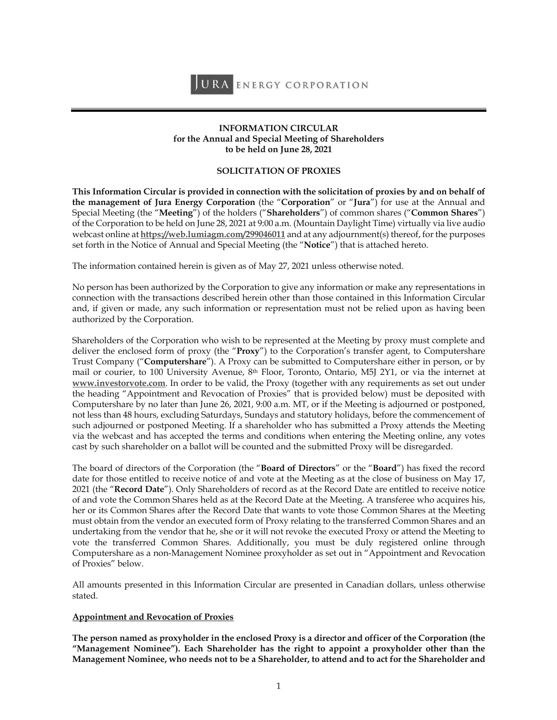JURA ENERGY CORPORATION

### **INFORMATION CIRCULAR for the Annual and Special Meeting of Shareholders to be held on June 28, 2021**

# **SOLICITATION OF PROXIES**

**This Information Circular is provided in connection with the solicitation of proxies by and on behalf of the management of Jura Energy Corporation** (the "**Corporation**" or "**Jura**") for use at the Annual and Special Meeting (the "**Meeting**") of the holders ("**Shareholders**") of common shares ("**Common Shares**") of the Corporation to be held on June 28, 2021 at 9:00 a.m. (Mountain Daylight Time) virtually via live audio webcast online at **https://web.lumiagm.com/299046011** and at any adjournment(s) thereof, for the purposes set forth in the Notice of Annual and Special Meeting (the "**Notice**") that is attached hereto.

The information contained herein is given as of May 27, 2021 unless otherwise noted.

No person has been authorized by the Corporation to give any information or make any representations in connection with the transactions described herein other than those contained in this Information Circular and, if given or made, any such information or representation must not be relied upon as having been authorized by the Corporation.

Shareholders of the Corporation who wish to be represented at the Meeting by proxy must complete and deliver the enclosed form of proxy (the "**Proxy**") to the Corporation's transfer agent, to Computershare Trust Company ("**Computershare**"). A Proxy can be submitted to Computershare either in person, or by mail or courier, to 100 University Avenue, 8th Floor, Toronto, Ontario, M5J 2Y1, or via the internet at **www.investorvote.com**. In order to be valid, the Proxy (together with any requirements as set out under the heading "Appointment and Revocation of Proxies" that is provided below) must be deposited with Computershare by no later than June 26, 2021, 9:00 a.m. MT, or if the Meeting is adjourned or postponed, not less than 48 hours, excluding Saturdays, Sundays and statutory holidays, before the commencement of such adjourned or postponed Meeting. If a shareholder who has submitted a Proxy attends the Meeting via the webcast and has accepted the terms and conditions when entering the Meeting online, any votes cast by such shareholder on a ballot will be counted and the submitted Proxy will be disregarded.

The board of directors of the Corporation (the "**Board of Directors**" or the "**Board**") has fixed the record date for those entitled to receive notice of and vote at the Meeting as at the close of business on May 17, 2021 (the "**Record Date**"). Only Shareholders of record as at the Record Date are entitled to receive notice of and vote the Common Shares held as at the Record Date at the Meeting. A transferee who acquires his, her or its Common Shares after the Record Date that wants to vote those Common Shares at the Meeting must obtain from the vendor an executed form of Proxy relating to the transferred Common Shares and an undertaking from the vendor that he, she or it will not revoke the executed Proxy or attend the Meeting to vote the transferred Common Shares. Additionally, you must be duly registered online through Computershare as a non-Management Nominee proxyholder as set out in "Appointment and Revocation of Proxies" below.

All amounts presented in this Information Circular are presented in Canadian dollars, unless otherwise stated.

# **Appointment and Revocation of Proxies**

**The person named as proxyholder in the enclosed Proxy is a director and officer of the Corporation (the "Management Nominee"). Each Shareholder has the right to appoint a proxyholder other than the Management Nominee, who needs not to be a Shareholder, to attend and to act for the Shareholder and**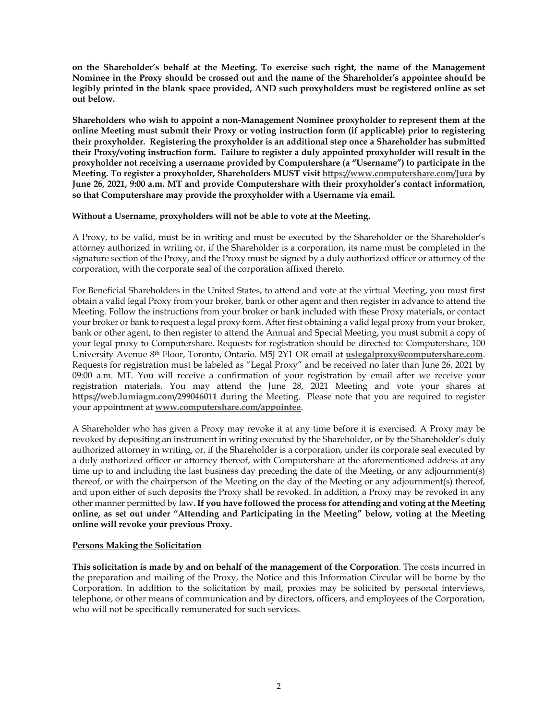**on the Shareholder's behalf at the Meeting. To exercise such right, the name of the Management Nominee in the Proxy should be crossed out and the name of the Shareholder's appointee should be legibly printed in the blank space provided, AND such proxyholders must be registered online as set out below.** 

**Shareholders who wish to appoint a non-Management Nominee proxyholder to represent them at the online Meeting must submit their Proxy or voting instruction form (if applicable) prior to registering their proxyholder. Registering the proxyholder is an additional step once a Shareholder has submitted their Proxy/voting instruction form. Failure to register a duly appointed proxyholder will result in the proxyholder not receiving a username provided by Computershare (a "Username") to participate in the Meeting. To register a proxyholder, Shareholders MUST visit https://www.computershare.com/Jura by June 26, 2021, 9:00 a.m. MT and provide Computershare with their proxyholder's contact information, so that Computershare may provide the proxyholder with a Username via email.** 

### **Without a Username, proxyholders will not be able to vote at the Meeting.**

A Proxy, to be valid, must be in writing and must be executed by the Shareholder or the Shareholder's attorney authorized in writing or, if the Shareholder is a corporation, its name must be completed in the signature section of the Proxy, and the Proxy must be signed by a duly authorized officer or attorney of the corporation, with the corporate seal of the corporation affixed thereto.

For Beneficial Shareholders in the United States, to attend and vote at the virtual Meeting, you must first obtain a valid legal Proxy from your broker, bank or other agent and then register in advance to attend the Meeting. Follow the instructions from your broker or bank included with these Proxy materials, or contact your broker or bank to request a legal proxy form. After first obtaining a valid legal proxy from your broker, bank or other agent, to then register to attend the Annual and Special Meeting, you must submit a copy of your legal proxy to Computershare. Requests for registration should be directed to: Computershare, 100 University Avenue 8th Floor, Toronto, Ontario. M5J 2Y1 OR email at **uslegalproxy@computershare.com**. Requests for registration must be labeled as "Legal Proxy" and be received no later than June 26, 2021 by 09:00 a.m. MT. You will receive a confirmation of your registration by email after we receive your registration materials. You may attend the June 28, 2021 Meeting and vote your shares at **https://web.lumiagm.com/299046011** during the Meeting. Please note that you are required to register your appointment at **www.computershare.com/appointee**.

A Shareholder who has given a Proxy may revoke it at any time before it is exercised. A Proxy may be revoked by depositing an instrument in writing executed by the Shareholder, or by the Shareholder's duly authorized attorney in writing, or, if the Shareholder is a corporation, under its corporate seal executed by a duly authorized officer or attorney thereof, with Computershare at the aforementioned address at any time up to and including the last business day preceding the date of the Meeting, or any adjournment(s) thereof, or with the chairperson of the Meeting on the day of the Meeting or any adjournment(s) thereof, and upon either of such deposits the Proxy shall be revoked. In addition, a Proxy may be revoked in any other manner permitted by law. **If you have followed the process for attending and voting at the Meeting online, as set out under "Attending and Participating in the Meeting" below, voting at the Meeting online will revoke your previous Proxy.** 

# **Persons Making the Solicitation**

**This solicitation is made by and on behalf of the management of the Corporation**. The costs incurred in the preparation and mailing of the Proxy, the Notice and this Information Circular will be borne by the Corporation. In addition to the solicitation by mail, proxies may be solicited by personal interviews, telephone, or other means of communication and by directors, officers, and employees of the Corporation, who will not be specifically remunerated for such services.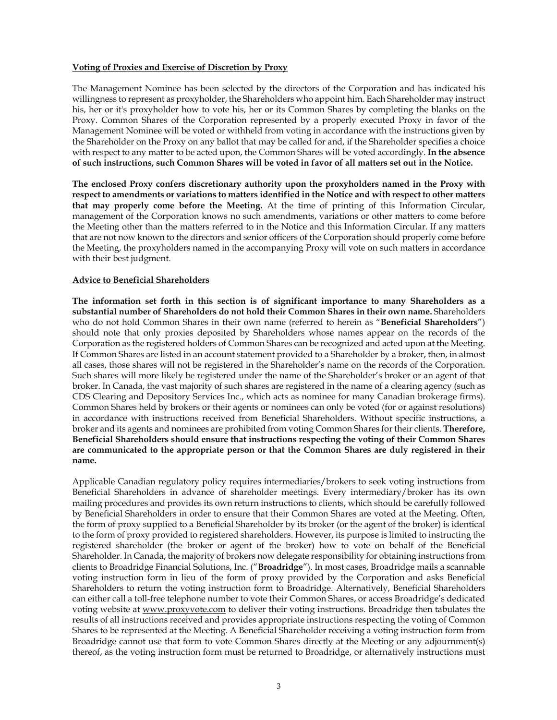### **Voting of Proxies and Exercise of Discretion by Proxy**

The Management Nominee has been selected by the directors of the Corporation and has indicated his willingness to represent as proxyholder, the Shareholders who appoint him. Each Shareholder may instruct his, her or it's proxyholder how to vote his, her or its Common Shares by completing the blanks on the Proxy. Common Shares of the Corporation represented by a properly executed Proxy in favor of the Management Nominee will be voted or withheld from voting in accordance with the instructions given by the Shareholder on the Proxy on any ballot that may be called for and, if the Shareholder specifies a choice with respect to any matter to be acted upon, the Common Shares will be voted accordingly. **In the absence of such instructions, such Common Shares will be voted in favor of all matters set out in the Notice.**

**The enclosed Proxy confers discretionary authority upon the proxyholders named in the Proxy with respect to amendments or variations to matters identified in the Notice and with respect to other matters that may properly come before the Meeting.** At the time of printing of this Information Circular, management of the Corporation knows no such amendments, variations or other matters to come before the Meeting other than the matters referred to in the Notice and this Information Circular. If any matters that are not now known to the directors and senior officers of the Corporation should properly come before the Meeting, the proxyholders named in the accompanying Proxy will vote on such matters in accordance with their best judgment.

# **Advice to Beneficial Shareholders**

**The information set forth in this section is of significant importance to many Shareholders as a substantial number of Shareholders do not hold their Common Shares in their own name.** Shareholders who do not hold Common Shares in their own name (referred to herein as "**Beneficial Shareholders**") should note that only proxies deposited by Shareholders whose names appear on the records of the Corporation as the registered holders of Common Shares can be recognized and acted upon at the Meeting. If Common Shares are listed in an account statement provided to a Shareholder by a broker, then, in almost all cases, those shares will not be registered in the Shareholder's name on the records of the Corporation. Such shares will more likely be registered under the name of the Shareholder's broker or an agent of that broker. In Canada, the vast majority of such shares are registered in the name of a clearing agency (such as CDS Clearing and Depository Services Inc., which acts as nominee for many Canadian brokerage firms). Common Shares held by brokers or their agents or nominees can only be voted (for or against resolutions) in accordance with instructions received from Beneficial Shareholders. Without specific instructions, a broker and its agents and nominees are prohibited from voting Common Shares for their clients. **Therefore, Beneficial Shareholders should ensure that instructions respecting the voting of their Common Shares are communicated to the appropriate person or that the Common Shares are duly registered in their name.**

Applicable Canadian regulatory policy requires intermediaries/brokers to seek voting instructions from Beneficial Shareholders in advance of shareholder meetings. Every intermediary/broker has its own mailing procedures and provides its own return instructions to clients, which should be carefully followed by Beneficial Shareholders in order to ensure that their Common Shares are voted at the Meeting. Often, the form of proxy supplied to a Beneficial Shareholder by its broker (or the agent of the broker) is identical to the form of proxy provided to registered shareholders. However, its purpose is limited to instructing the registered shareholder (the broker or agent of the broker) how to vote on behalf of the Beneficial Shareholder. In Canada, the majority of brokers now delegate responsibility for obtaining instructions from clients to Broadridge Financial Solutions, Inc. ("**Broadridge**"). In most cases, Broadridge mails a scannable voting instruction form in lieu of the form of proxy provided by the Corporation and asks Beneficial Shareholders to return the voting instruction form to Broadridge. Alternatively, Beneficial Shareholders can either call a toll-free telephone number to vote their Common Shares, or access Broadridge's dedicated voting website at www.proxyvote.com to deliver their voting instructions. Broadridge then tabulates the results of all instructions received and provides appropriate instructions respecting the voting of Common Shares to be represented at the Meeting. A Beneficial Shareholder receiving a voting instruction form from Broadridge cannot use that form to vote Common Shares directly at the Meeting or any adjournment(s) thereof, as the voting instruction form must be returned to Broadridge, or alternatively instructions must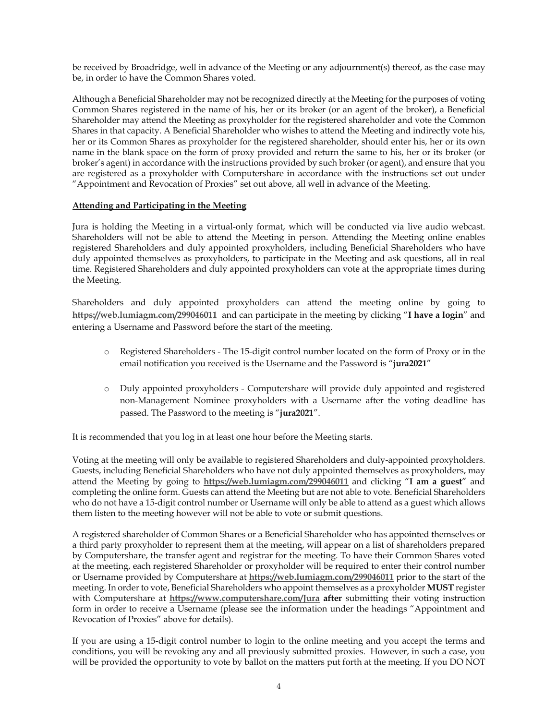be received by Broadridge, well in advance of the Meeting or any adjournment(s) thereof, as the case may be, in order to have the Common Shares voted.

Although a Beneficial Shareholder may not be recognized directly at the Meeting for the purposes of voting Common Shares registered in the name of his, her or its broker (or an agent of the broker), a Beneficial Shareholder may attend the Meeting as proxyholder for the registered shareholder and vote the Common Shares in that capacity. A Beneficial Shareholder who wishes to attend the Meeting and indirectly vote his, her or its Common Shares as proxyholder for the registered shareholder, should enter his, her or its own name in the blank space on the form of proxy provided and return the same to his, her or its broker (or broker's agent) in accordance with the instructions provided by such broker (or agent), and ensure that you are registered as a proxyholder with Computershare in accordance with the instructions set out under "Appointment and Revocation of Proxies" set out above, all well in advance of the Meeting.

# **Attending and Participating in the Meeting**

Jura is holding the Meeting in a virtual-only format, which will be conducted via live audio webcast. Shareholders will not be able to attend the Meeting in person. Attending the Meeting online enables registered Shareholders and duly appointed proxyholders, including Beneficial Shareholders who have duly appointed themselves as proxyholders, to participate in the Meeting and ask questions, all in real time. Registered Shareholders and duly appointed proxyholders can vote at the appropriate times during the Meeting.

Shareholders and duly appointed proxyholders can attend the meeting online by going to **https://web.lumiagm.com/299046011** and can participate in the meeting by clicking "**I have a login**" and entering a Username and Password before the start of the meeting.

- o Registered Shareholders The 15-digit control number located on the form of Proxy or in the email notification you received is the Username and the Password is "**jura2021**"
- o Duly appointed proxyholders Computershare will provide duly appointed and registered non-Management Nominee proxyholders with a Username after the voting deadline has passed. The Password to the meeting is "**jura2021**".

It is recommended that you log in at least one hour before the Meeting starts.

Voting at the meeting will only be available to registered Shareholders and duly-appointed proxyholders. Guests, including Beneficial Shareholders who have not duly appointed themselves as proxyholders, may attend the Meeting by going to **https://web.lumiagm.com/299046011** and clicking "**I am a guest**" and completing the online form. Guests can attend the Meeting but are not able to vote. Beneficial Shareholders who do not have a 15-digit control number or Username will only be able to attend as a guest which allows them listen to the meeting however will not be able to vote or submit questions.

A registered shareholder of Common Shares or a Beneficial Shareholder who has appointed themselves or a third party proxyholder to represent them at the meeting, will appear on a list of shareholders prepared by Computershare, the transfer agent and registrar for the meeting. To have their Common Shares voted at the meeting, each registered Shareholder or proxyholder will be required to enter their control number or Username provided by Computershare at **https://web.lumiagm.com/299046011** prior to the start of the meeting. In order to vote, Beneficial Shareholders who appoint themselves as a proxyholder **MUST** register with Computershare at **https://www.computershare.com/Jura after** submitting their voting instruction form in order to receive a Username (please see the information under the headings "Appointment and Revocation of Proxies" above for details).

If you are using a 15-digit control number to login to the online meeting and you accept the terms and conditions, you will be revoking any and all previously submitted proxies. However, in such a case, you will be provided the opportunity to vote by ballot on the matters put forth at the meeting. If you DO NOT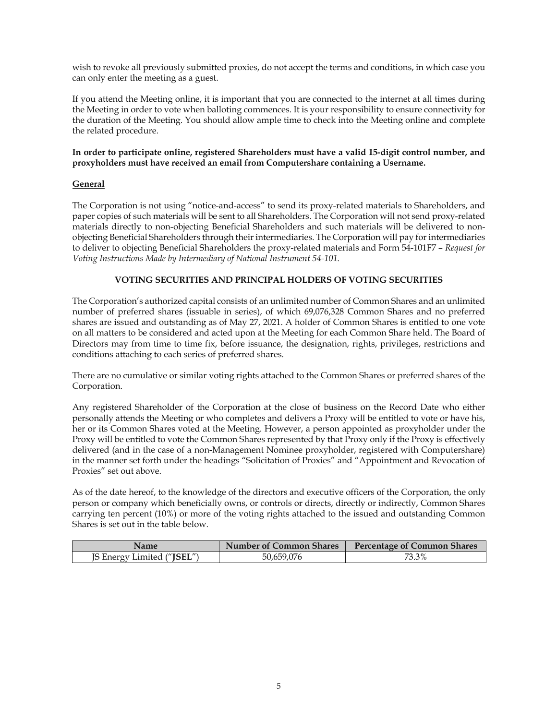wish to revoke all previously submitted proxies, do not accept the terms and conditions, in which case you can only enter the meeting as a guest.

If you attend the Meeting online, it is important that you are connected to the internet at all times during the Meeting in order to vote when balloting commences. It is your responsibility to ensure connectivity for the duration of the Meeting. You should allow ample time to check into the Meeting online and complete the related procedure.

## **In order to participate online, registered Shareholders must have a valid 15-digit control number, and proxyholders must have received an email from Computershare containing a Username.**

# **General**

The Corporation is not using "notice-and-access" to send its proxy-related materials to Shareholders, and paper copies of such materials will be sent to all Shareholders. The Corporation will not send proxy-related materials directly to non-objecting Beneficial Shareholders and such materials will be delivered to nonobjecting Beneficial Shareholders through their intermediaries. The Corporation will pay for intermediaries to deliver to objecting Beneficial Shareholders the proxy-related materials and Form 54-101F7 – *Request for Voting Instructions Made by Intermediary of National Instrument 54-101*.

# **VOTING SECURITIES AND PRINCIPAL HOLDERS OF VOTING SECURITIES**

The Corporation's authorized capital consists of an unlimited number of Common Shares and an unlimited number of preferred shares (issuable in series), of which 69,076,328 Common Shares and no preferred shares are issued and outstanding as of May 27, 2021. A holder of Common Shares is entitled to one vote on all matters to be considered and acted upon at the Meeting for each Common Share held. The Board of Directors may from time to time fix, before issuance, the designation, rights, privileges, restrictions and conditions attaching to each series of preferred shares.

There are no cumulative or similar voting rights attached to the Common Shares or preferred shares of the Corporation.

Any registered Shareholder of the Corporation at the close of business on the Record Date who either personally attends the Meeting or who completes and delivers a Proxy will be entitled to vote or have his, her or its Common Shares voted at the Meeting. However, a person appointed as proxyholder under the Proxy will be entitled to vote the Common Shares represented by that Proxy only if the Proxy is effectively delivered (and in the case of a non-Management Nominee proxyholder, registered with Computershare) in the manner set forth under the headings "Solicitation of Proxies" and "Appointment and Revocation of Proxies" set out above.

As of the date hereof, to the knowledge of the directors and executive officers of the Corporation, the only person or company which beneficially owns, or controls or directs, directly or indirectly, Common Shares carrying ten percent (10%) or more of the voting rights attached to the issued and outstanding Common Shares is set out in the table below.

| <b>Name</b>                         | <b>Number of Common Shares</b> | <b>Percentage of Common Shares</b> |  |  |
|-------------------------------------|--------------------------------|------------------------------------|--|--|
| [S Energy Limited (" <b>JSEL"</b> ) | 50,659,076                     | 73.3%                              |  |  |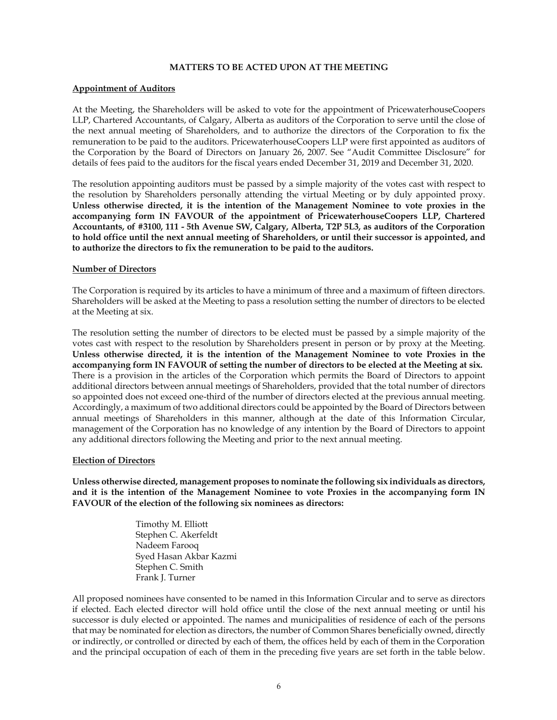### **MATTERS TO BE ACTED UPON AT THE MEETING**

### **Appointment of Auditors**

At the Meeting, the Shareholders will be asked to vote for the appointment of PricewaterhouseCoopers LLP, Chartered Accountants, of Calgary, Alberta as auditors of the Corporation to serve until the close of the next annual meeting of Shareholders, and to authorize the directors of the Corporation to fix the remuneration to be paid to the auditors. PricewaterhouseCoopers LLP were first appointed as auditors of the Corporation by the Board of Directors on January 26, 2007. See "Audit Committee Disclosure" for details of fees paid to the auditors for the fiscal years ended December 31, 2019 and December 31, 2020.

The resolution appointing auditors must be passed by a simple majority of the votes cast with respect to the resolution by Shareholders personally attending the virtual Meeting or by duly appointed proxy. **Unless otherwise directed, it is the intention of the Management Nominee to vote proxies in the accompanying form IN FAVOUR of the appointment of PricewaterhouseCoopers LLP, Chartered Accountants, of #3100, 111 - 5th Avenue SW, Calgary, Alberta, T2P 5L3, as auditors of the Corporation to hold office until the next annual meeting of Shareholders, or until their successor is appointed, and to authorize the directors to fix the remuneration to be paid to the auditors.** 

### **Number of Directors**

The Corporation is required by its articles to have a minimum of three and a maximum of fifteen directors. Shareholders will be asked at the Meeting to pass a resolution setting the number of directors to be elected at the Meeting at six.

The resolution setting the number of directors to be elected must be passed by a simple majority of the votes cast with respect to the resolution by Shareholders present in person or by proxy at the Meeting. **Unless otherwise directed, it is the intention of the Management Nominee to vote Proxies in the accompanying form IN FAVOUR of setting the number of directors to be elected at the Meeting at six.** There is a provision in the articles of the Corporation which permits the Board of Directors to appoint additional directors between annual meetings of Shareholders, provided that the total number of directors so appointed does not exceed one-third of the number of directors elected at the previous annual meeting. Accordingly, a maximum of two additional directors could be appointed by the Board of Directors between annual meetings of Shareholders in this manner, although at the date of this Information Circular, management of the Corporation has no knowledge of any intention by the Board of Directors to appoint any additional directors following the Meeting and prior to the next annual meeting.

#### **Election of Directors**

**Unless otherwise directed, management proposes to nominate the following six individuals as directors, and it is the intention of the Management Nominee to vote Proxies in the accompanying form IN FAVOUR of the election of the following six nominees as directors:** 

> Timothy M. Elliott Stephen C. Akerfeldt Nadeem Farooq Syed Hasan Akbar Kazmi Stephen C. Smith Frank J. Turner

All proposed nominees have consented to be named in this Information Circular and to serve as directors if elected. Each elected director will hold office until the close of the next annual meeting or until his successor is duly elected or appointed. The names and municipalities of residence of each of the persons that may be nominated for election as directors, the number of Common Shares beneficially owned, directly or indirectly, or controlled or directed by each of them, the offices held by each of them in the Corporation and the principal occupation of each of them in the preceding five years are set forth in the table below.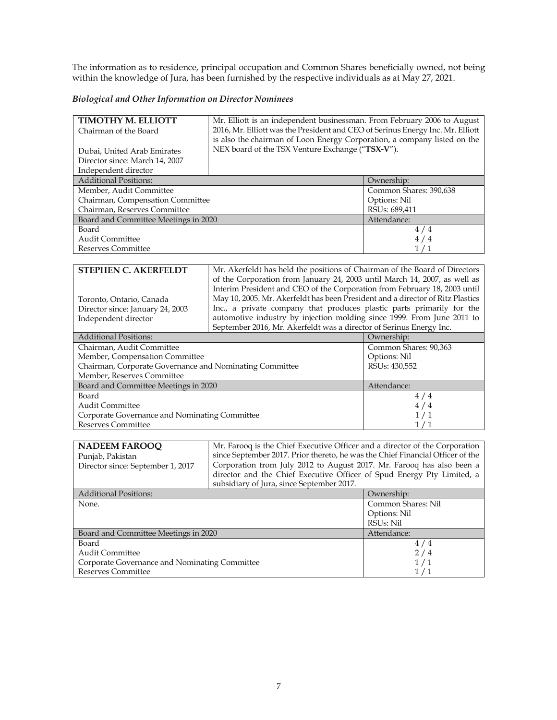The information as to residence, principal occupation and Common Shares beneficially owned, not being within the knowledge of Jura, has been furnished by the respective individuals as at May 27, 2021.

# *Biological and Other Information on Director Nominees*

| TIMOTHY M. ELLIOTT                                      | Mr. Elliott is an independent businessman. From February 2006 to August        |                            |  |  |
|---------------------------------------------------------|--------------------------------------------------------------------------------|----------------------------|--|--|
| Chairman of the Board                                   | 2016, Mr. Elliott was the President and CEO of Serinus Energy Inc. Mr. Elliott |                            |  |  |
|                                                         | is also the chairman of Loon Energy Corporation, a company listed on the       |                            |  |  |
| Dubai, United Arab Emirates                             | NEX board of the TSX Venture Exchange ("TSX-V").                               |                            |  |  |
| Director since: March 14, 2007                          |                                                                                |                            |  |  |
| Independent director                                    |                                                                                |                            |  |  |
| <b>Additional Positions:</b>                            |                                                                                | Ownership:                 |  |  |
| Member, Audit Committee                                 |                                                                                | Common Shares: 390,638     |  |  |
| Chairman, Compensation Committee                        |                                                                                | Options: Nil               |  |  |
| Chairman, Reserves Committee                            |                                                                                | RSUs: 689,411              |  |  |
| Board and Committee Meetings in 2020                    |                                                                                | Attendance:                |  |  |
| Board                                                   |                                                                                | 4/4                        |  |  |
| Audit Committee                                         |                                                                                | 4/4                        |  |  |
| <b>Reserves Committee</b>                               |                                                                                | 1/1                        |  |  |
|                                                         |                                                                                |                            |  |  |
| <b>STEPHEN C. AKERFELDT</b>                             | Mr. Akerfeldt has held the positions of Chairman of the Board of Directors     |                            |  |  |
|                                                         | of the Corporation from January 24, 2003 until March 14, 2007, as well as      |                            |  |  |
|                                                         | Interim President and CEO of the Corporation from February 18, 2003 until      |                            |  |  |
| Toronto, Ontario, Canada                                | May 10, 2005. Mr. Akerfeldt has been President and a director of Ritz Plastics |                            |  |  |
| Director since: January 24, 2003                        | Inc., a private company that produces plastic parts primarily for the          |                            |  |  |
| Independent director                                    | automotive industry by injection molding since 1999. From June 2011 to         |                            |  |  |
|                                                         | September 2016, Mr. Akerfeldt was a director of Serinus Energy Inc.            |                            |  |  |
| <b>Additional Positions:</b>                            |                                                                                | Ownership:                 |  |  |
| Chairman, Audit Committee                               |                                                                                | Common Shares: 90,363      |  |  |
| Member, Compensation Committee                          | Options: Nil                                                                   |                            |  |  |
| Chairman, Corporate Governance and Nominating Committee |                                                                                | RSU <sub>s</sub> : 430,552 |  |  |
| Member, Reserves Committee                              |                                                                                |                            |  |  |
| Board and Committee Meetings in 2020                    | Attendance:<br>111                                                             |                            |  |  |

| Board and Committee Meetings in 2020          | Attendance: |
|-----------------------------------------------|-------------|
| Board                                         |             |
| <b>Audit Committee</b>                        | 4/4         |
| Corporate Governance and Nominating Committee |             |
| Reserves Committee                            |             |

| <b>NADEEM FAROOQ</b>                          | Mr. Farooq is the Chief Executive Officer and a director of the Corporation    |                    |  |  |
|-----------------------------------------------|--------------------------------------------------------------------------------|--------------------|--|--|
| Punjab, Pakistan                              | since September 2017. Prior thereto, he was the Chief Financial Officer of the |                    |  |  |
| Director since: September 1, 2017             | Corporation from July 2012 to August 2017. Mr. Farooq has also been a          |                    |  |  |
|                                               | director and the Chief Executive Officer of Spud Energy Pty Limited, a         |                    |  |  |
|                                               | subsidiary of Jura, since September 2017.                                      |                    |  |  |
| <b>Additional Positions:</b>                  |                                                                                | Ownership:         |  |  |
| None.                                         |                                                                                | Common Shares: Nil |  |  |
|                                               |                                                                                | Options: Nil       |  |  |
|                                               | RSU <sub>s</sub> : Nil                                                         |                    |  |  |
| Board and Committee Meetings in 2020          |                                                                                | Attendance:        |  |  |
| Board                                         |                                                                                | 4/4                |  |  |
| Audit Committee                               |                                                                                | 2/4                |  |  |
| Corporate Governance and Nominating Committee |                                                                                | 1/1                |  |  |
| <b>Reserves Committee</b>                     |                                                                                |                    |  |  |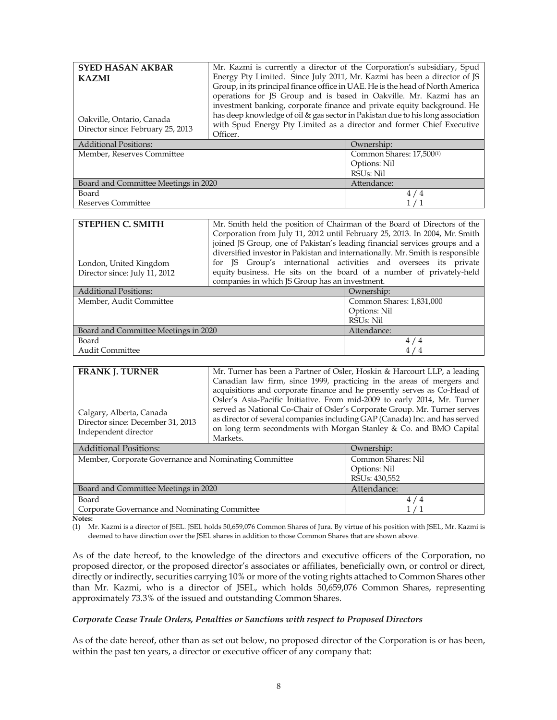| <b>SYED HASAN AKBAR</b>              |                                                                                | Mr. Kazmi is currently a director of the Corporation's subsidiary, Spud        |  |  |
|--------------------------------------|--------------------------------------------------------------------------------|--------------------------------------------------------------------------------|--|--|
| <b>KAZMI</b>                         | Energy Pty Limited. Since July 2011, Mr. Kazmi has been a director of JS       |                                                                                |  |  |
|                                      | Group, in its principal finance office in UAE. He is the head of North America |                                                                                |  |  |
|                                      | operations for JS Group and is based in Oakville. Mr. Kazmi has an             |                                                                                |  |  |
|                                      |                                                                                | investment banking, corporate finance and private equity background. He        |  |  |
| Oakville, Ontario, Canada            |                                                                                | has deep knowledge of oil & gas sector in Pakistan due to his long association |  |  |
| Director since: February 25, 2013    |                                                                                | with Spud Energy Pty Limited as a director and former Chief Executive          |  |  |
|                                      | Officer.                                                                       |                                                                                |  |  |
| <b>Additional Positions:</b>         |                                                                                | Ownership:                                                                     |  |  |
| Member, Reserves Committee           |                                                                                | Common Shares: 17,500(1)                                                       |  |  |
|                                      |                                                                                | Options: Nil                                                                   |  |  |
|                                      |                                                                                | RSU <sub>s</sub> : Nil                                                         |  |  |
| Board and Committee Meetings in 2020 |                                                                                | Attendance:                                                                    |  |  |
| Board                                |                                                                                |                                                                                |  |  |

Reserves Committee

| <b>STEPHEN C. SMITH</b>                                | Mr. Smith held the position of Chairman of the Board of Directors of the       |                       |  |  |
|--------------------------------------------------------|--------------------------------------------------------------------------------|-----------------------|--|--|
|                                                        | Corporation from July 11, 2012 until February 25, 2013. In 2004, Mr. Smith     |                       |  |  |
|                                                        | joined JS Group, one of Pakistan's leading financial services groups and a     |                       |  |  |
|                                                        | diversified investor in Pakistan and internationally. Mr. Smith is responsible |                       |  |  |
| London, United Kingdom                                 | for JS Group's international activities and oversees its private               |                       |  |  |
| Director since: July 11, 2012                          | equity business. He sits on the board of a number of privately-held            |                       |  |  |
|                                                        | companies in which JS Group has an investment.                                 |                       |  |  |
| <b>Additional Positions:</b>                           |                                                                                | Ownership:            |  |  |
| $\mathbf{M}$ 1 $\mathbf{M}$ 1, $\mathbf{M}$<br>$\cdot$ | $\sqrt{2}$                                                                     | $\sim$ 1<br>1.021.000 |  |  |

1 / 1

| Member, Audit Committee              | Common Shares: 1,831,000 |  |  |
|--------------------------------------|--------------------------|--|--|
|                                      | Options: Nil             |  |  |
|                                      | RSUs: Nil                |  |  |
| Board and Committee Meetings in 2020 | Attendance:              |  |  |
| Board                                | 4 / 4                    |  |  |
| <b>Audit Committee</b>               |                          |  |  |

| <b>FRANK J. TURNER</b><br>Calgary, Alberta, Canada<br>Director since: December 31, 2013<br>Independent director | Canadian law firm, since 1999, practicing in the areas of mergers and<br>Osler's Asia-Pacific Initiative. From mid-2009 to early 2014, Mr. Turner<br>served as National Co-Chair of Osler's Corporate Group. Mr. Turner serves<br>Markets. | Mr. Turner has been a Partner of Osler, Hoskin & Harcourt LLP, a leading<br>acquisitions and corporate finance and he presently serves as Co-Head of<br>as director of several companies including GAP (Canada) Inc. and has served<br>on long term secondments with Morgan Stanley & Co. and BMO Capital |
|-----------------------------------------------------------------------------------------------------------------|--------------------------------------------------------------------------------------------------------------------------------------------------------------------------------------------------------------------------------------------|-----------------------------------------------------------------------------------------------------------------------------------------------------------------------------------------------------------------------------------------------------------------------------------------------------------|
| <b>Additional Positions:</b>                                                                                    |                                                                                                                                                                                                                                            | Ownership:                                                                                                                                                                                                                                                                                                |
| Member, Corporate Governance and Nominating Committee                                                           |                                                                                                                                                                                                                                            | Common Shares: Nil<br>Options: Nil                                                                                                                                                                                                                                                                        |

|                                               | Options: Nil  |
|-----------------------------------------------|---------------|
|                                               | RSUs: 430,552 |
| Board and Committee Meetings in 2020          | Attendance:   |
| Board                                         |               |
| Corporate Governance and Nominating Committee |               |
|                                               |               |

**Notes:** 

(1) Mr. Kazmi is a director of JSEL. JSEL holds 50,659,076 Common Shares of Jura. By virtue of his position with JSEL, Mr. Kazmi is deemed to have direction over the JSEL shares in addition to those Common Shares that are shown above.

As of the date hereof, to the knowledge of the directors and executive officers of the Corporation, no proposed director, or the proposed director's associates or affiliates, beneficially own, or control or direct, directly or indirectly, securities carrying 10% or more of the voting rights attached to Common Shares other than Mr. Kazmi, who is a director of JSEL, which holds 50,659,076 Common Shares, representing approximately 73.3% of the issued and outstanding Common Shares.

# *Corporate Cease Trade Orders, Penalties or Sanctions with respect to Proposed Directors*

As of the date hereof, other than as set out below, no proposed director of the Corporation is or has been, within the past ten years, a director or executive officer of any company that: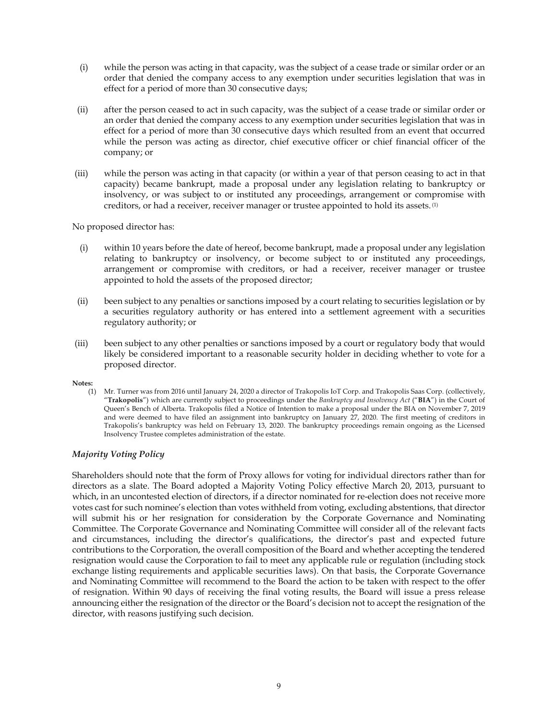- (i) while the person was acting in that capacity, was the subject of a cease trade or similar order or an order that denied the company access to any exemption under securities legislation that was in effect for a period of more than 30 consecutive days;
- (ii) after the person ceased to act in such capacity, was the subject of a cease trade or similar order or an order that denied the company access to any exemption under securities legislation that was in effect for a period of more than 30 consecutive days which resulted from an event that occurred while the person was acting as director, chief executive officer or chief financial officer of the company; or
- (iii) while the person was acting in that capacity (or within a year of that person ceasing to act in that capacity) became bankrupt, made a proposal under any legislation relating to bankruptcy or insolvency, or was subject to or instituted any proceedings, arrangement or compromise with creditors, or had a receiver, receiver manager or trustee appointed to hold its assets. (1)

No proposed director has:

- (i) within 10 years before the date of hereof, become bankrupt, made a proposal under any legislation relating to bankruptcy or insolvency, or become subject to or instituted any proceedings, arrangement or compromise with creditors, or had a receiver, receiver manager or trustee appointed to hold the assets of the proposed director;
- (ii) been subject to any penalties or sanctions imposed by a court relating to securities legislation or by a securities regulatory authority or has entered into a settlement agreement with a securities regulatory authority; or
- (iii) been subject to any other penalties or sanctions imposed by a court or regulatory body that would likely be considered important to a reasonable security holder in deciding whether to vote for a proposed director.

#### **Notes:**

(1) Mr. Turner was from 2016 until January 24, 2020 a director of Trakopolis IoT Corp. and Trakopolis Saas Corp. (collectively, "**Trakopolis**") which are currently subject to proceedings under the *Bankruptcy and Insolvency Act* ("**BIA**") in the Court of Queen's Bench of Alberta. Trakopolis filed a Notice of Intention to make a proposal under the BIA on November 7, 2019 and were deemed to have filed an assignment into bankruptcy on January 27, 2020. The first meeting of creditors in Trakopolis's bankruptcy was held on February 13, 2020. The bankruptcy proceedings remain ongoing as the Licensed Insolvency Trustee completes administration of the estate.

# *Majority Voting Policy*

Shareholders should note that the form of Proxy allows for voting for individual directors rather than for directors as a slate. The Board adopted a Majority Voting Policy effective March 20, 2013, pursuant to which, in an uncontested election of directors, if a director nominated for re-election does not receive more votes cast for such nominee's election than votes withheld from voting, excluding abstentions, that director will submit his or her resignation for consideration by the Corporate Governance and Nominating Committee. The Corporate Governance and Nominating Committee will consider all of the relevant facts and circumstances, including the director's qualifications, the director's past and expected future contributions to the Corporation, the overall composition of the Board and whether accepting the tendered resignation would cause the Corporation to fail to meet any applicable rule or regulation (including stock exchange listing requirements and applicable securities laws). On that basis, the Corporate Governance and Nominating Committee will recommend to the Board the action to be taken with respect to the offer of resignation. Within 90 days of receiving the final voting results, the Board will issue a press release announcing either the resignation of the director or the Board's decision not to accept the resignation of the director, with reasons justifying such decision.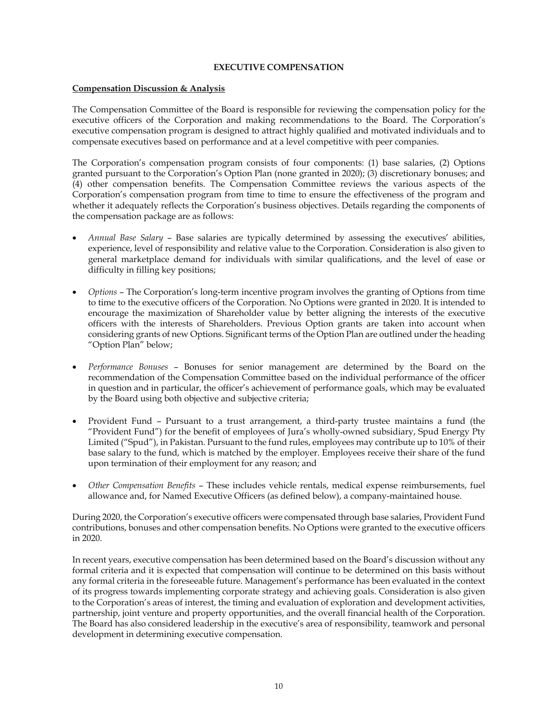# **EXECUTIVE COMPENSATION**

# **Compensation Discussion & Analysis**

The Compensation Committee of the Board is responsible for reviewing the compensation policy for the executive officers of the Corporation and making recommendations to the Board. The Corporation's executive compensation program is designed to attract highly qualified and motivated individuals and to compensate executives based on performance and at a level competitive with peer companies.

The Corporation's compensation program consists of four components: (1) base salaries, (2) Options granted pursuant to the Corporation's Option Plan (none granted in 2020); (3) discretionary bonuses; and (4) other compensation benefits. The Compensation Committee reviews the various aspects of the Corporation's compensation program from time to time to ensure the effectiveness of the program and whether it adequately reflects the Corporation's business objectives. Details regarding the components of the compensation package are as follows:

- *Annual Base Salary*  Base salaries are typically determined by assessing the executives' abilities, experience, level of responsibility and relative value to the Corporation. Consideration is also given to general marketplace demand for individuals with similar qualifications, and the level of ease or difficulty in filling key positions;
- *Options* The Corporation's long-term incentive program involves the granting of Options from time to time to the executive officers of the Corporation. No Options were granted in 2020. It is intended to encourage the maximization of Shareholder value by better aligning the interests of the executive officers with the interests of Shareholders. Previous Option grants are taken into account when considering grants of new Options. Significant terms of the Option Plan are outlined under the heading "Option Plan" below;
- *Performance Bonuses*  Bonuses for senior management are determined by the Board on the recommendation of the Compensation Committee based on the individual performance of the officer in question and in particular, the officer's achievement of performance goals, which may be evaluated by the Board using both objective and subjective criteria;
- Provident Fund Pursuant to a trust arrangement, a third-party trustee maintains a fund (the "Provident Fund") for the benefit of employees of Jura's wholly-owned subsidiary, Spud Energy Pty Limited ("Spud"), in Pakistan. Pursuant to the fund rules, employees may contribute up to 10% of their base salary to the fund, which is matched by the employer. Employees receive their share of the fund upon termination of their employment for any reason; and
- *Other Compensation Benefits* These includes vehicle rentals, medical expense reimbursements, fuel allowance and, for Named Executive Officers (as defined below), a company-maintained house.

During 2020, the Corporation's executive officers were compensated through base salaries, Provident Fund contributions, bonuses and other compensation benefits. No Options were granted to the executive officers in 2020.

In recent years, executive compensation has been determined based on the Board's discussion without any formal criteria and it is expected that compensation will continue to be determined on this basis without any formal criteria in the foreseeable future. Management's performance has been evaluated in the context of its progress towards implementing corporate strategy and achieving goals. Consideration is also given to the Corporation's areas of interest, the timing and evaluation of exploration and development activities, partnership, joint venture and property opportunities, and the overall financial health of the Corporation. The Board has also considered leadership in the executive's area of responsibility, teamwork and personal development in determining executive compensation.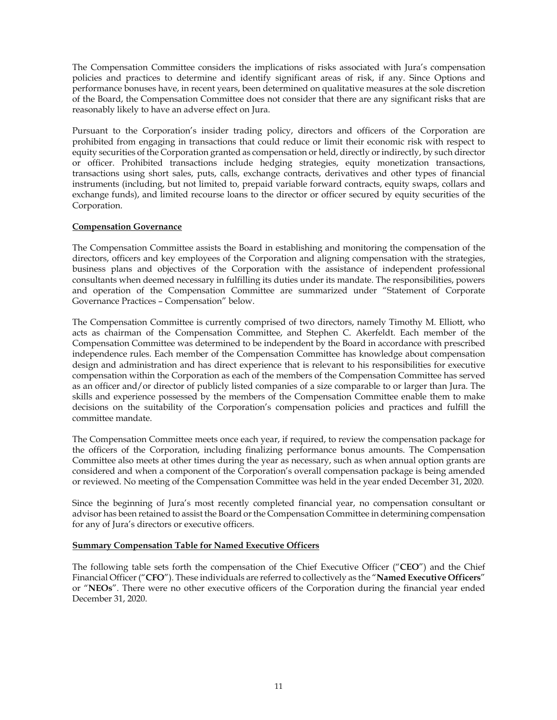The Compensation Committee considers the implications of risks associated with Jura's compensation policies and practices to determine and identify significant areas of risk, if any. Since Options and performance bonuses have, in recent years, been determined on qualitative measures at the sole discretion of the Board, the Compensation Committee does not consider that there are any significant risks that are reasonably likely to have an adverse effect on Jura.

Pursuant to the Corporation's insider trading policy, directors and officers of the Corporation are prohibited from engaging in transactions that could reduce or limit their economic risk with respect to equity securities of the Corporation granted as compensation or held, directly or indirectly, by such director or officer. Prohibited transactions include hedging strategies, equity monetization transactions, transactions using short sales, puts, calls, exchange contracts, derivatives and other types of financial instruments (including, but not limited to, prepaid variable forward contracts, equity swaps, collars and exchange funds), and limited recourse loans to the director or officer secured by equity securities of the Corporation.

# **Compensation Governance**

The Compensation Committee assists the Board in establishing and monitoring the compensation of the directors, officers and key employees of the Corporation and aligning compensation with the strategies, business plans and objectives of the Corporation with the assistance of independent professional consultants when deemed necessary in fulfilling its duties under its mandate. The responsibilities, powers and operation of the Compensation Committee are summarized under "Statement of Corporate Governance Practices – Compensation" below.

The Compensation Committee is currently comprised of two directors, namely Timothy M. Elliott, who acts as chairman of the Compensation Committee, and Stephen C. Akerfeldt. Each member of the Compensation Committee was determined to be independent by the Board in accordance with prescribed independence rules. Each member of the Compensation Committee has knowledge about compensation design and administration and has direct experience that is relevant to his responsibilities for executive compensation within the Corporation as each of the members of the Compensation Committee has served as an officer and/or director of publicly listed companies of a size comparable to or larger than Jura. The skills and experience possessed by the members of the Compensation Committee enable them to make decisions on the suitability of the Corporation's compensation policies and practices and fulfill the committee mandate.

The Compensation Committee meets once each year, if required, to review the compensation package for the officers of the Corporation, including finalizing performance bonus amounts. The Compensation Committee also meets at other times during the year as necessary, such as when annual option grants are considered and when a component of the Corporation's overall compensation package is being amended or reviewed. No meeting of the Compensation Committee was held in the year ended December 31, 2020.

Since the beginning of Jura's most recently completed financial year, no compensation consultant or advisor has been retained to assist the Board or the Compensation Committee in determining compensation for any of Jura's directors or executive officers.

# **Summary Compensation Table for Named Executive Officers**

The following table sets forth the compensation of the Chief Executive Officer ("**CEO**") and the Chief Financial Officer ("**CFO**"). These individuals are referred to collectively as the "**Named Executive Officers**" or "**NEOs**". There were no other executive officers of the Corporation during the financial year ended December 31, 2020.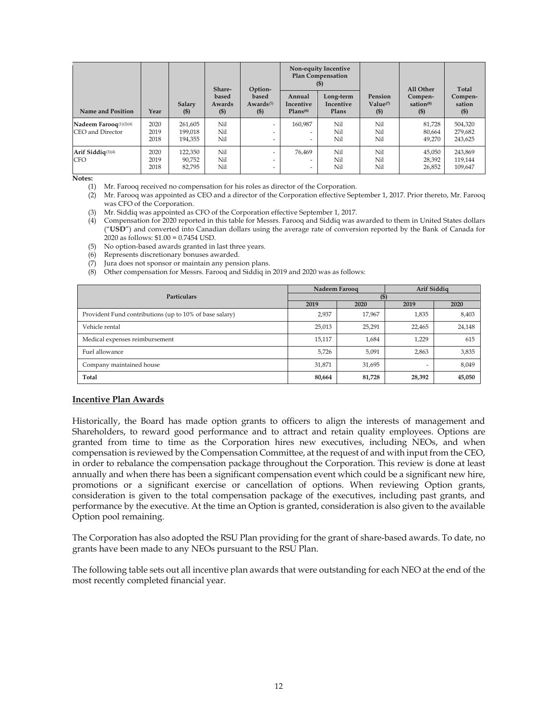|                                            |                      |                               | Share-                    | Option-                                                                          | Non-equity Incentive<br><b>Plan Compensation</b> |                                 |                                | All Other                               | Total                         |
|--------------------------------------------|----------------------|-------------------------------|---------------------------|----------------------------------------------------------------------------------|--------------------------------------------------|---------------------------------|--------------------------------|-----------------------------------------|-------------------------------|
| Name and Position                          | Year                 | Salary<br>$($ \$              | based<br>Awards<br>$($ \$ | based<br>Awards(5)<br>$($ \$                                                     | Annual<br>Incentive<br>Plans <sup>(6)</sup>      | Long-term<br>Incentive<br>Plans | Pension<br>Value(7)<br>$($ \$) | Compen-<br>sation <sup>(8)</sup><br>(S) | Compen-<br>sation<br>$($ \$   |
| Nadeem Farooq(1)(2)(4)<br>CEO and Director | 2020<br>2019<br>2018 | 261.605<br>199,018<br>194.355 | Nil<br>Nil<br>Nil         | $\overline{\phantom{a}}$<br>$\overline{\phantom{0}}$<br>$\overline{\phantom{0}}$ | 160.987<br>-<br>$\overline{\phantom{0}}$         | Nil<br>Nil<br>Nil               | Nil<br>Nil<br>Nil              | 81.728<br>80,664<br>49,270              | 504,320<br>279,682<br>243,625 |
| Arif Siddiq $(3)(4)$<br><b>CFO</b>         | 2020<br>2019<br>2018 | 122.350<br>90,752<br>82,795   | Nil<br>Nil<br>Nil         | $\overline{\phantom{0}}$<br>$\overline{\phantom{0}}$<br>$\overline{\phantom{0}}$ | 76.469<br>-<br>-                                 | Nil<br>Nil<br>Nil               | Nil<br>Nil<br>Nil              | 45,050<br>28,392<br>26,852              | 243,869<br>119,144<br>109,647 |

**Notes:** 

(1) Mr. Farooq received no compensation for his roles as director of the Corporation.

(2) Mr. Farooq was appointed as CEO and a director of the Corporation effective September 1, 2017. Prior thereto, Mr. Farooq was CFO of the Corporation.

(3) Mr. Siddiq was appointed as CFO of the Corporation effective September 1, 2017.

(4) Compensation for 2020 reported in this table for Messrs. Farooq and Siddiq was awarded to them in United States dollars ("**USD**") and converted into Canadian dollars using the average rate of conversion reported by the Bank of Canada for 2020 as follows: \$1.00 = 0.7454 USD.

(5) No option-based awards granted in last three years.

(6) Represents discretionary bonuses awarded.

(7) Jura does not sponsor or maintain any pension plans.

(8) Other compensation for Messrs. Farooq and Siddiq in 2019 and 2020 was as follows:

|                                                         | Nadeem Farooq |        | Arif Siddig |        |  |  |
|---------------------------------------------------------|---------------|--------|-------------|--------|--|--|
| <b>Particulars</b>                                      | (\$           |        |             |        |  |  |
|                                                         | 2019          | 2020   | 2019        | 2020   |  |  |
| Provident Fund contributions (up to 10% of base salary) | 2,937         | 17,967 | 1,835       | 8,403  |  |  |
| Vehicle rental                                          | 25,013        | 25,291 | 22,465      | 24,148 |  |  |
| Medical expenses reimbursement                          | 15,117        | 1,684  | 1,229       | 615    |  |  |
| Fuel allowance                                          | 5,726         | 5,091  | 2,863       | 3,835  |  |  |
| Company maintained house                                | 31,871        | 31,695 |             | 8,049  |  |  |
| Total                                                   | 80,664        | 81,728 | 28,392      | 45,050 |  |  |

#### **Incentive Plan Awards**

Historically, the Board has made option grants to officers to align the interests of management and Shareholders, to reward good performance and to attract and retain quality employees. Options are granted from time to time as the Corporation hires new executives, including NEOs, and when compensation is reviewed by the Compensation Committee, at the request of and with input from the CEO, in order to rebalance the compensation package throughout the Corporation. This review is done at least annually and when there has been a significant compensation event which could be a significant new hire, promotions or a significant exercise or cancellation of options. When reviewing Option grants, consideration is given to the total compensation package of the executives, including past grants, and performance by the executive. At the time an Option is granted, consideration is also given to the available Option pool remaining.

The Corporation has also adopted the RSU Plan providing for the grant of share-based awards. To date, no grants have been made to any NEOs pursuant to the RSU Plan.

The following table sets out all incentive plan awards that were outstanding for each NEO at the end of the most recently completed financial year.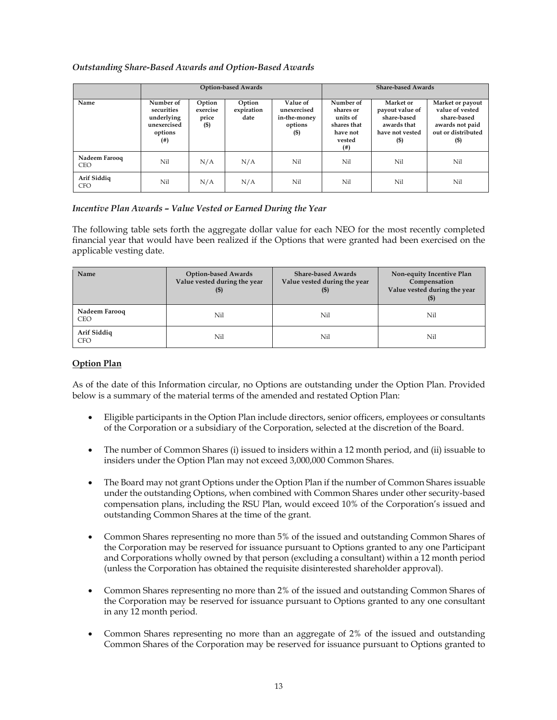# *Outstanding Share-Based Awards and Option-Based Awards*

|                             | <b>Option-based Awards</b>                                             |                                    |                              |                                                              |                                                                                 | <b>Share-based Awards</b>                                                               |                                                                                                       |
|-----------------------------|------------------------------------------------------------------------|------------------------------------|------------------------------|--------------------------------------------------------------|---------------------------------------------------------------------------------|-----------------------------------------------------------------------------------------|-------------------------------------------------------------------------------------------------------|
| Name                        | Number of<br>securities<br>underlying<br>unexercised<br>options<br>(4) | Option<br>exercise<br>price<br>(5) | Option<br>expiration<br>date | Value of<br>unexercised<br>in-the-money<br>options<br>$($ \$ | Number of<br>shares or<br>units of<br>shares that<br>have not<br>vested<br>(# ) | Market or<br>payout value of<br>share-based<br>awards that<br>have not vested<br>$($ \$ | Market or payout<br>value of vested<br>share-based<br>awards not paid<br>out or distributed<br>$($ \$ |
| Nadeem Farooq<br><b>CEO</b> | Nil                                                                    | N/A                                | N/A                          | Nil                                                          | Nil                                                                             | Nil                                                                                     | Nil                                                                                                   |
| Arif Siddiq<br><b>CFO</b>   | Nil                                                                    | N/A                                | N/A                          | Nil                                                          | Nil                                                                             | Nil                                                                                     | Nil                                                                                                   |

# *Incentive Plan Awards – Value Vested or Earned During the Year*

The following table sets forth the aggregate dollar value for each NEO for the most recently completed financial year that would have been realized if the Options that were granted had been exercised on the applicable vesting date.

| Name                        | <b>Option-based Awards</b><br>Value vested during the year<br>$($ \$) | <b>Share-based Awards</b><br>Value vested during the year<br>$($ \$) | Non-equity Incentive Plan<br>Compensation<br>Value vested during the year<br>$($ \$ |
|-----------------------------|-----------------------------------------------------------------------|----------------------------------------------------------------------|-------------------------------------------------------------------------------------|
| Nadeem Farooq<br><b>CEO</b> | Nil                                                                   | Nil                                                                  | Nil                                                                                 |
| Arif Siddig<br><b>CFO</b>   | Nil                                                                   | Nil                                                                  | Nil                                                                                 |

# **Option Plan**

As of the date of this Information circular, no Options are outstanding under the Option Plan. Provided below is a summary of the material terms of the amended and restated Option Plan:

- Eligible participants in the Option Plan include directors, senior officers, employees or consultants of the Corporation or a subsidiary of the Corporation, selected at the discretion of the Board.
- The number of Common Shares (i) issued to insiders within a 12 month period, and (ii) issuable to insiders under the Option Plan may not exceed 3,000,000 Common Shares.
- The Board may not grant Options under the Option Plan if the number of Common Shares issuable under the outstanding Options, when combined with Common Shares under other security-based compensation plans, including the RSU Plan, would exceed 10% of the Corporation's issued and outstanding Common Shares at the time of the grant.
- Common Shares representing no more than 5% of the issued and outstanding Common Shares of the Corporation may be reserved for issuance pursuant to Options granted to any one Participant and Corporations wholly owned by that person (excluding a consultant) within a 12 month period (unless the Corporation has obtained the requisite disinterested shareholder approval).
- Common Shares representing no more than 2% of the issued and outstanding Common Shares of the Corporation may be reserved for issuance pursuant to Options granted to any one consultant in any 12 month period.
- Common Shares representing no more than an aggregate of 2% of the issued and outstanding Common Shares of the Corporation may be reserved for issuance pursuant to Options granted to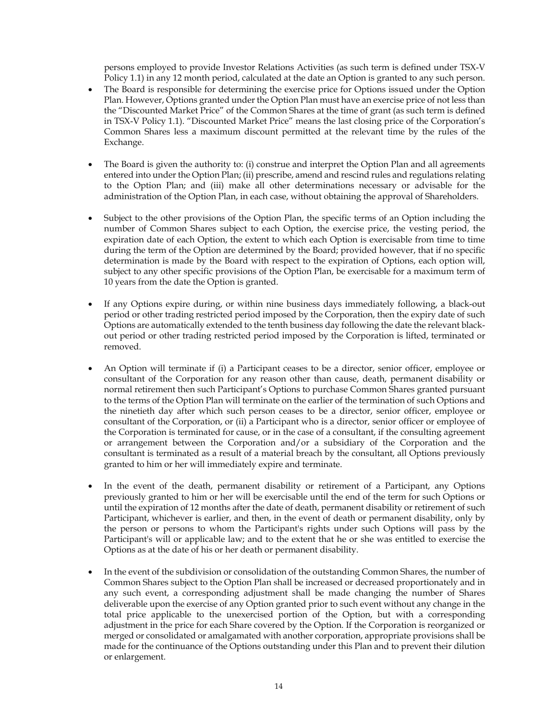persons employed to provide Investor Relations Activities (as such term is defined under TSX-V Policy 1.1) in any 12 month period, calculated at the date an Option is granted to any such person.

- The Board is responsible for determining the exercise price for Options issued under the Option Plan. However, Options granted under the Option Plan must have an exercise price of not less than the "Discounted Market Price" of the Common Shares at the time of grant (as such term is defined in TSX-V Policy 1.1). "Discounted Market Price" means the last closing price of the Corporation's Common Shares less a maximum discount permitted at the relevant time by the rules of the Exchange.
- The Board is given the authority to: (i) construe and interpret the Option Plan and all agreements entered into under the Option Plan; (ii) prescribe, amend and rescind rules and regulations relating to the Option Plan; and (iii) make all other determinations necessary or advisable for the administration of the Option Plan, in each case, without obtaining the approval of Shareholders.
- Subject to the other provisions of the Option Plan, the specific terms of an Option including the number of Common Shares subject to each Option, the exercise price, the vesting period, the expiration date of each Option, the extent to which each Option is exercisable from time to time during the term of the Option are determined by the Board; provided however, that if no specific determination is made by the Board with respect to the expiration of Options, each option will, subject to any other specific provisions of the Option Plan, be exercisable for a maximum term of 10 years from the date the Option is granted.
- If any Options expire during, or within nine business days immediately following, a black-out period or other trading restricted period imposed by the Corporation, then the expiry date of such Options are automatically extended to the tenth business day following the date the relevant blackout period or other trading restricted period imposed by the Corporation is lifted, terminated or removed.
- An Option will terminate if (i) a Participant ceases to be a director, senior officer, employee or consultant of the Corporation for any reason other than cause, death, permanent disability or normal retirement then such Participant's Options to purchase Common Shares granted pursuant to the terms of the Option Plan will terminate on the earlier of the termination of such Options and the ninetieth day after which such person ceases to be a director, senior officer, employee or consultant of the Corporation, or (ii) a Participant who is a director, senior officer or employee of the Corporation is terminated for cause, or in the case of a consultant, if the consulting agreement or arrangement between the Corporation and/or a subsidiary of the Corporation and the consultant is terminated as a result of a material breach by the consultant, all Options previously granted to him or her will immediately expire and terminate.
- In the event of the death, permanent disability or retirement of a Participant, any Options previously granted to him or her will be exercisable until the end of the term for such Options or until the expiration of 12 months after the date of death, permanent disability or retirement of such Participant, whichever is earlier, and then, in the event of death or permanent disability, only by the person or persons to whom the Participant's rights under such Options will pass by the Participant's will or applicable law; and to the extent that he or she was entitled to exercise the Options as at the date of his or her death or permanent disability.
- In the event of the subdivision or consolidation of the outstanding Common Shares, the number of Common Shares subject to the Option Plan shall be increased or decreased proportionately and in any such event, a corresponding adjustment shall be made changing the number of Shares deliverable upon the exercise of any Option granted prior to such event without any change in the total price applicable to the unexercised portion of the Option, but with a corresponding adjustment in the price for each Share covered by the Option. If the Corporation is reorganized or merged or consolidated or amalgamated with another corporation, appropriate provisions shall be made for the continuance of the Options outstanding under this Plan and to prevent their dilution or enlargement.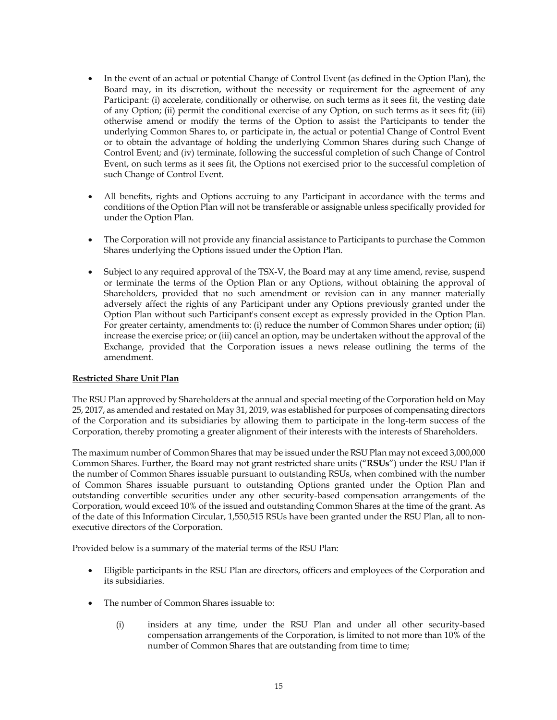- In the event of an actual or potential Change of Control Event (as defined in the Option Plan), the Board may, in its discretion, without the necessity or requirement for the agreement of any Participant: (i) accelerate, conditionally or otherwise, on such terms as it sees fit, the vesting date of any Option; (ii) permit the conditional exercise of any Option, on such terms as it sees fit; (iii) otherwise amend or modify the terms of the Option to assist the Participants to tender the underlying Common Shares to, or participate in, the actual or potential Change of Control Event or to obtain the advantage of holding the underlying Common Shares during such Change of Control Event; and (iv) terminate, following the successful completion of such Change of Control Event, on such terms as it sees fit, the Options not exercised prior to the successful completion of such Change of Control Event.
- All benefits, rights and Options accruing to any Participant in accordance with the terms and conditions of the Option Plan will not be transferable or assignable unless specifically provided for under the Option Plan.
- The Corporation will not provide any financial assistance to Participants to purchase the Common Shares underlying the Options issued under the Option Plan.
- Subject to any required approval of the TSX-V, the Board may at any time amend, revise, suspend or terminate the terms of the Option Plan or any Options, without obtaining the approval of Shareholders, provided that no such amendment or revision can in any manner materially adversely affect the rights of any Participant under any Options previously granted under the Option Plan without such Participant's consent except as expressly provided in the Option Plan. For greater certainty, amendments to: (i) reduce the number of Common Shares under option; (ii) increase the exercise price; or (iii) cancel an option, may be undertaken without the approval of the Exchange, provided that the Corporation issues a news release outlining the terms of the amendment.

# **Restricted Share Unit Plan**

The RSU Plan approved by Shareholders at the annual and special meeting of the Corporation held on May 25, 2017, as amended and restated on May 31, 2019, was established for purposes of compensating directors of the Corporation and its subsidiaries by allowing them to participate in the long-term success of the Corporation, thereby promoting a greater alignment of their interests with the interests of Shareholders.

The maximum number of Common Shares that may be issued under the RSU Plan may not exceed 3,000,000 Common Shares. Further, the Board may not grant restricted share units ("**RSUs**") under the RSU Plan if the number of Common Shares issuable pursuant to outstanding RSUs, when combined with the number of Common Shares issuable pursuant to outstanding Options granted under the Option Plan and outstanding convertible securities under any other security-based compensation arrangements of the Corporation, would exceed 10% of the issued and outstanding Common Shares at the time of the grant. As of the date of this Information Circular, 1,550,515 RSUs have been granted under the RSU Plan, all to nonexecutive directors of the Corporation.

Provided below is a summary of the material terms of the RSU Plan:

- Eligible participants in the RSU Plan are directors, officers and employees of the Corporation and its subsidiaries.
- The number of Common Shares issuable to:
	- (i) insiders at any time, under the RSU Plan and under all other security-based compensation arrangements of the Corporation, is limited to not more than 10% of the number of Common Shares that are outstanding from time to time;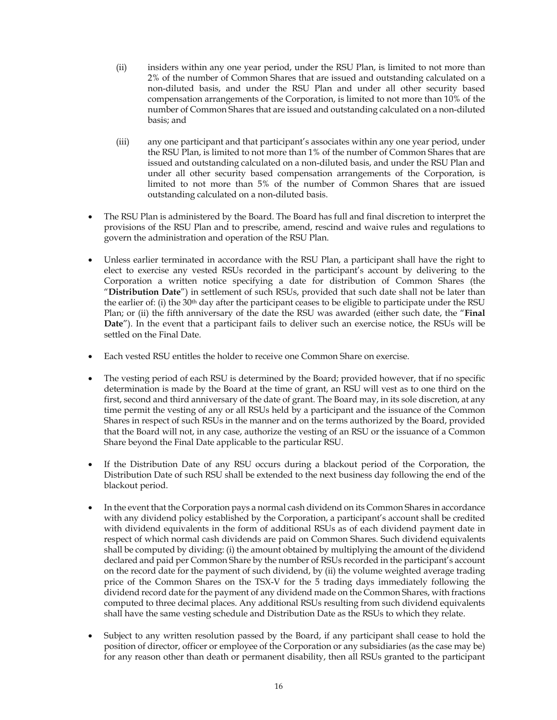- (ii) insiders within any one year period, under the RSU Plan, is limited to not more than 2% of the number of Common Shares that are issued and outstanding calculated on a non-diluted basis, and under the RSU Plan and under all other security based compensation arrangements of the Corporation, is limited to not more than 10% of the number of Common Shares that are issued and outstanding calculated on a non-diluted basis; and
- (iii) any one participant and that participant's associates within any one year period, under the RSU Plan, is limited to not more than 1% of the number of Common Shares that are issued and outstanding calculated on a non-diluted basis, and under the RSU Plan and under all other security based compensation arrangements of the Corporation, is limited to not more than 5% of the number of Common Shares that are issued outstanding calculated on a non-diluted basis.
- The RSU Plan is administered by the Board. The Board has full and final discretion to interpret the provisions of the RSU Plan and to prescribe, amend, rescind and waive rules and regulations to govern the administration and operation of the RSU Plan.
- Unless earlier terminated in accordance with the RSU Plan, a participant shall have the right to elect to exercise any vested RSUs recorded in the participant's account by delivering to the Corporation a written notice specifying a date for distribution of Common Shares (the "**Distribution Date**") in settlement of such RSUs, provided that such date shall not be later than the earlier of: (i) the 30th day after the participant ceases to be eligible to participate under the RSU Plan; or (ii) the fifth anniversary of the date the RSU was awarded (either such date, the "**Final Date**"). In the event that a participant fails to deliver such an exercise notice, the RSUs will be settled on the Final Date.
- Each vested RSU entitles the holder to receive one Common Share on exercise.
- The vesting period of each RSU is determined by the Board; provided however, that if no specific determination is made by the Board at the time of grant, an RSU will vest as to one third on the first, second and third anniversary of the date of grant. The Board may, in its sole discretion, at any time permit the vesting of any or all RSUs held by a participant and the issuance of the Common Shares in respect of such RSUs in the manner and on the terms authorized by the Board, provided that the Board will not, in any case, authorize the vesting of an RSU or the issuance of a Common Share beyond the Final Date applicable to the particular RSU.
- If the Distribution Date of any RSU occurs during a blackout period of the Corporation, the Distribution Date of such RSU shall be extended to the next business day following the end of the blackout period.
- In the event that the Corporation pays a normal cash dividend on its Common Shares in accordance with any dividend policy established by the Corporation, a participant's account shall be credited with dividend equivalents in the form of additional RSUs as of each dividend payment date in respect of which normal cash dividends are paid on Common Shares. Such dividend equivalents shall be computed by dividing: (i) the amount obtained by multiplying the amount of the dividend declared and paid per Common Share by the number of RSUs recorded in the participant's account on the record date for the payment of such dividend, by (ii) the volume weighted average trading price of the Common Shares on the TSX-V for the 5 trading days immediately following the dividend record date for the payment of any dividend made on the Common Shares, with fractions computed to three decimal places. Any additional RSUs resulting from such dividend equivalents shall have the same vesting schedule and Distribution Date as the RSUs to which they relate.
- Subject to any written resolution passed by the Board, if any participant shall cease to hold the position of director, officer or employee of the Corporation or any subsidiaries (as the case may be) for any reason other than death or permanent disability, then all RSUs granted to the participant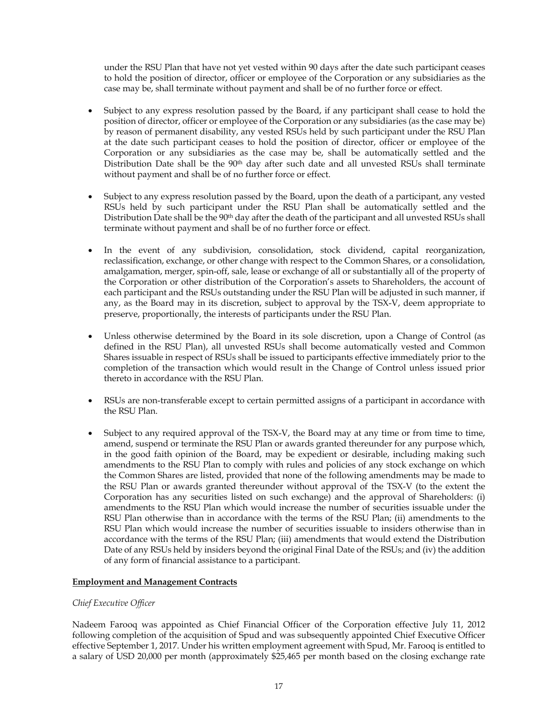under the RSU Plan that have not yet vested within 90 days after the date such participant ceases to hold the position of director, officer or employee of the Corporation or any subsidiaries as the case may be, shall terminate without payment and shall be of no further force or effect.

- Subject to any express resolution passed by the Board, if any participant shall cease to hold the position of director, officer or employee of the Corporation or any subsidiaries (as the case may be) by reason of permanent disability, any vested RSUs held by such participant under the RSU Plan at the date such participant ceases to hold the position of director, officer or employee of the Corporation or any subsidiaries as the case may be, shall be automatically settled and the Distribution Date shall be the 90<sup>th</sup> day after such date and all unvested RSUs shall terminate without payment and shall be of no further force or effect.
- Subject to any express resolution passed by the Board, upon the death of a participant, any vested RSUs held by such participant under the RSU Plan shall be automatically settled and the Distribution Date shall be the 90<sup>th</sup> day after the death of the participant and all unvested RSUs shall terminate without payment and shall be of no further force or effect.
- In the event of any subdivision, consolidation, stock dividend, capital reorganization, reclassification, exchange, or other change with respect to the Common Shares, or a consolidation, amalgamation, merger, spin-off, sale, lease or exchange of all or substantially all of the property of the Corporation or other distribution of the Corporation's assets to Shareholders, the account of each participant and the RSUs outstanding under the RSU Plan will be adjusted in such manner, if any, as the Board may in its discretion, subject to approval by the TSX-V, deem appropriate to preserve, proportionally, the interests of participants under the RSU Plan.
- Unless otherwise determined by the Board in its sole discretion, upon a Change of Control (as defined in the RSU Plan), all unvested RSUs shall become automatically vested and Common Shares issuable in respect of RSUs shall be issued to participants effective immediately prior to the completion of the transaction which would result in the Change of Control unless issued prior thereto in accordance with the RSU Plan.
- RSUs are non-transferable except to certain permitted assigns of a participant in accordance with the RSU Plan.
- Subject to any required approval of the TSX-V, the Board may at any time or from time to time, amend, suspend or terminate the RSU Plan or awards granted thereunder for any purpose which, in the good faith opinion of the Board, may be expedient or desirable, including making such amendments to the RSU Plan to comply with rules and policies of any stock exchange on which the Common Shares are listed, provided that none of the following amendments may be made to the RSU Plan or awards granted thereunder without approval of the TSX-V (to the extent the Corporation has any securities listed on such exchange) and the approval of Shareholders: (i) amendments to the RSU Plan which would increase the number of securities issuable under the RSU Plan otherwise than in accordance with the terms of the RSU Plan; (ii) amendments to the RSU Plan which would increase the number of securities issuable to insiders otherwise than in accordance with the terms of the RSU Plan; (iii) amendments that would extend the Distribution Date of any RSUs held by insiders beyond the original Final Date of the RSUs; and (iv) the addition of any form of financial assistance to a participant.

# **Employment and Management Contracts**

# *Chief Executive Officer*

Nadeem Farooq was appointed as Chief Financial Officer of the Corporation effective July 11, 2012 following completion of the acquisition of Spud and was subsequently appointed Chief Executive Officer effective September 1, 2017. Under his written employment agreement with Spud, Mr. Farooq is entitled to a salary of USD 20,000 per month (approximately \$25,465 per month based on the closing exchange rate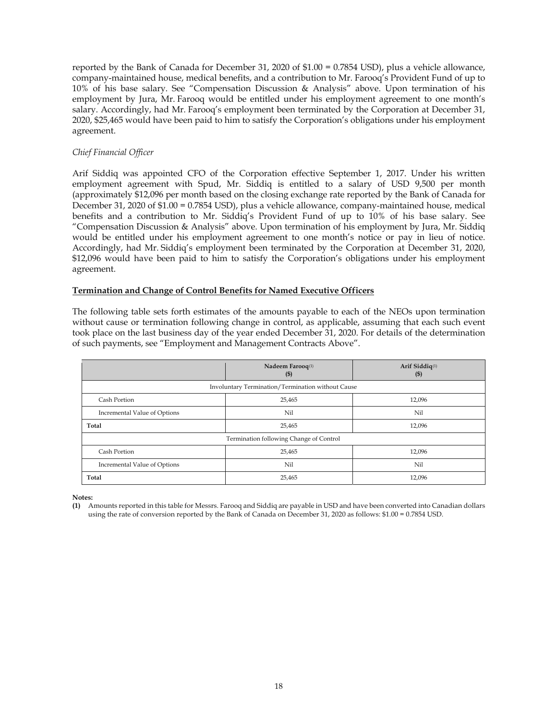reported by the Bank of Canada for December 31, 2020 of \$1.00 = 0.7854 USD), plus a vehicle allowance, company-maintained house, medical benefits, and a contribution to Mr. Farooq's Provident Fund of up to 10% of his base salary. See "Compensation Discussion & Analysis" above. Upon termination of his employment by Jura, Mr. Farooq would be entitled under his employment agreement to one month's salary. Accordingly, had Mr. Farooq's employment been terminated by the Corporation at December 31, 2020, \$25,465 would have been paid to him to satisfy the Corporation's obligations under his employment agreement.

# *Chief Financial Officer*

Arif Siddiq was appointed CFO of the Corporation effective September 1, 2017. Under his written employment agreement with Spud, Mr. Siddiq is entitled to a salary of USD 9,500 per month (approximately \$12,096 per month based on the closing exchange rate reported by the Bank of Canada for December 31, 2020 of \$1.00 = 0.7854 USD), plus a vehicle allowance, company-maintained house, medical benefits and a contribution to Mr. Siddiq's Provident Fund of up to 10% of his base salary. See "Compensation Discussion & Analysis" above. Upon termination of his employment by Jura, Mr. Siddiq would be entitled under his employment agreement to one month's notice or pay in lieu of notice. Accordingly, had Mr. Siddiq's employment been terminated by the Corporation at December 31, 2020, \$12,096 would have been paid to him to satisfy the Corporation's obligations under his employment agreement.

# **Termination and Change of Control Benefits for Named Executive Officers**

The following table sets forth estimates of the amounts payable to each of the NEOs upon termination without cause or termination following change in control, as applicable, assuming that each such event took place on the last business day of the year ended December 31, 2020. For details of the determination of such payments, see "Employment and Management Contracts Above".

|                                                   | Nadeem Farooq <sup>(1)</sup><br>$\left( \mathbb{S}\right)$ | Arif Siddiq <sup>(1)</sup><br>$\left( \mathbb{S}\right)$ |  |  |  |
|---------------------------------------------------|------------------------------------------------------------|----------------------------------------------------------|--|--|--|
| Involuntary Termination/Termination without Cause |                                                            |                                                          |  |  |  |
| Cash Portion                                      | 25,465                                                     | 12,096                                                   |  |  |  |
| Incremental Value of Options                      | Nil                                                        | Nil                                                      |  |  |  |
| Total                                             | 25,465                                                     | 12,096                                                   |  |  |  |
| Termination following Change of Control           |                                                            |                                                          |  |  |  |
| Cash Portion                                      | 25,465                                                     | 12,096                                                   |  |  |  |
| Incremental Value of Options                      | Nil                                                        | Nil                                                      |  |  |  |
| Total                                             | 25,465                                                     | 12,096                                                   |  |  |  |

**Notes:** 

**(1)** Amounts reported in this table for Messrs. Farooq and Siddiq are payable in USD and have been converted into Canadian dollars using the rate of conversion reported by the Bank of Canada on December 31, 2020 as follows: \$1.00 = 0.7854 USD.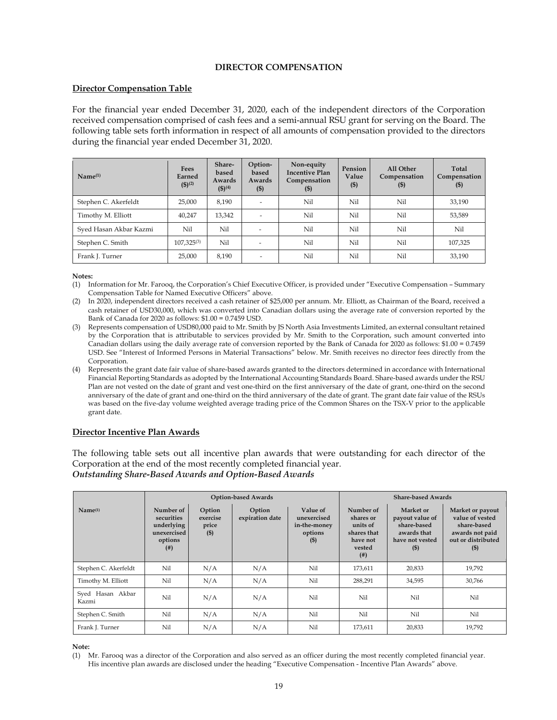### **DIRECTOR COMPENSATION**

### **Director Compensation Table**

For the financial year ended December 31, 2020, each of the independent directors of the Corporation received compensation comprised of cash fees and a semi-annual RSU grant for serving on the Board. The following table sets forth information in respect of all amounts of compensation provided to the directors during the financial year ended December 31, 2020.

| Name <sup>(1)</sup>    | Fees<br>Earned<br>$(5)^{(2)}$ | Share-<br>based<br>Awards<br>$(5)^{(4)}$ | Option-<br>based<br>Awards<br>$($ \$) | Non-equity<br><b>Incentive Plan</b><br>Compensation<br>$($ \$) | Pension<br>Value<br>$($ \$) | All Other<br>Compensation<br>$($ \$ | Total<br>Compensation<br>$($ \$ |
|------------------------|-------------------------------|------------------------------------------|---------------------------------------|----------------------------------------------------------------|-----------------------------|-------------------------------------|---------------------------------|
| Stephen C. Akerfeldt   | 25,000                        | 8.190                                    |                                       | Nil                                                            | Nil                         | Nil                                 | 33,190                          |
| Timothy M. Elliott     | 40,247                        | 13,342                                   |                                       | Nil                                                            | Nil                         | Nil                                 | 53,589                          |
| Syed Hasan Akbar Kazmi | Nil                           | Nil                                      |                                       | Nil                                                            | Nil                         | Nil                                 | Nil                             |
| Stephen C. Smith       | $107,325^{(3)}$               | Nil                                      |                                       | Nil                                                            | Nil                         | Nil                                 | 107,325                         |
| Frank J. Turner        | 25,000                        | 8,190                                    |                                       | Nil                                                            | Nil                         | Nil                                 | 33,190                          |

#### **Notes:**

(1) Information for Mr. Farooq, the Corporation's Chief Executive Officer, is provided under "Executive Compensation – Summary Compensation Table for Named Executive Officers" above.

- (2) In 2020, independent directors received a cash retainer of \$25,000 per annum. Mr. Elliott, as Chairman of the Board, received a cash retainer of USD30,000, which was converted into Canadian dollars using the average rate of conversion reported by the Bank of Canada for 2020 as follows: \$1.00 = 0.7459 USD.
- (3) Represents compensation of USD80,000 paid to Mr. Smith by JS North Asia Investments Limited, an external consultant retained by the Corporation that is attributable to services provided by Mr. Smith to the Corporation, such amount converted into Canadian dollars using the daily average rate of conversion reported by the Bank of Canada for 2020 as follows: \$1.00 = 0.7459 USD. See "Interest of Informed Persons in Material Transactions" below. Mr. Smith receives no director fees directly from the Corporation.
- (4) Represents the grant date fair value of share-based awards granted to the directors determined in accordance with International Financial Reporting Standards as adopted by the International Accounting Standards Board. Share-based awards under the RSU Plan are not vested on the date of grant and vest one-third on the first anniversary of the date of grant, one-third on the second anniversary of the date of grant and one-third on the third anniversary of the date of grant. The grant date fair value of the RSUs was based on the five-day volume weighted average trading price of the Common Shares on the TSX-V prior to the applicable grant date.

#### **Director Incentive Plan Awards**

The following table sets out all incentive plan awards that were outstanding for each director of the Corporation at the end of the most recently completed financial year. *Outstanding Share-Based Awards and Option-Based Awards*

|                           | <b>Option-based Awards</b>                                                   |                                        |                           |                                                              |                                                                                      | <b>Share-based Awards</b>                                                               |                                                                                                       |
|---------------------------|------------------------------------------------------------------------------|----------------------------------------|---------------------------|--------------------------------------------------------------|--------------------------------------------------------------------------------------|-----------------------------------------------------------------------------------------|-------------------------------------------------------------------------------------------------------|
| Name <sub>(1)</sub>       | Number of<br>securities<br>underlying<br>unexercised<br>options<br>$($ # $)$ | Option<br>exercise<br>price<br>$($ \$) | Option<br>expiration date | Value of<br>unexercised<br>in-the-money<br>options<br>$($ \$ | Number of<br>shares or<br>units of<br>shares that<br>have not<br>vested<br>$($ # $)$ | Market or<br>payout value of<br>share-based<br>awards that<br>have not vested<br>$($ \$ | Market or payout<br>value of vested<br>share-based<br>awards not paid<br>out or distributed<br>$($ \$ |
| Stephen C. Akerfeldt      | Nil                                                                          | N/A                                    | N/A                       | Nil                                                          | 173,611                                                                              | 20,833                                                                                  | 19,792                                                                                                |
| Timothy M. Elliott        | Nil                                                                          | N/A                                    | N/A                       | Nil                                                          | 288,291                                                                              | 34,595                                                                                  | 30,766                                                                                                |
| Syed Hasan Akbar<br>Kazmi | Nil                                                                          | N/A                                    | N/A                       | Nil                                                          | Nil                                                                                  | Nil                                                                                     | Nil                                                                                                   |
| Stephen C. Smith          | Nil                                                                          | N/A                                    | N/A                       | Nil                                                          | Nil                                                                                  | Nil                                                                                     | Nil                                                                                                   |
| Frank J. Turner           | Nil                                                                          | N/A                                    | N/A                       | Nil                                                          | 173,611                                                                              | 20,833                                                                                  | 19,792                                                                                                |

#### **Note:**

(1) Mr. Farooq was a director of the Corporation and also served as an officer during the most recently completed financial year. His incentive plan awards are disclosed under the heading "Executive Compensation - Incentive Plan Awards" above.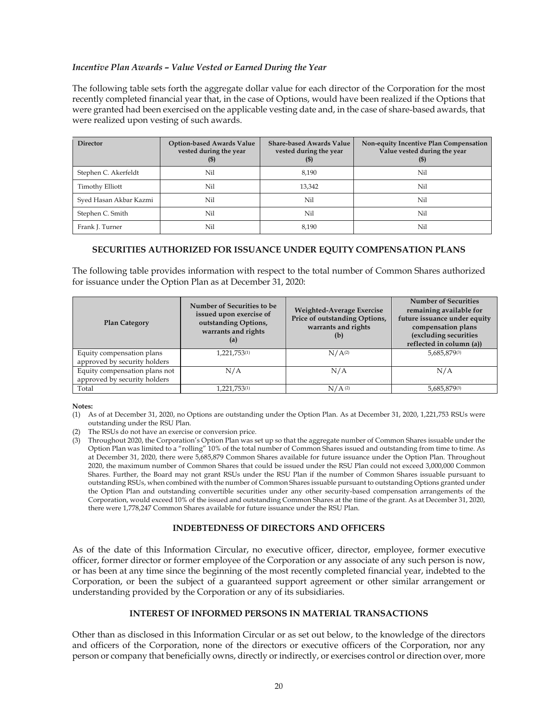# *Incentive Plan Awards – Value Vested or Earned During the Year*

The following table sets forth the aggregate dollar value for each director of the Corporation for the most recently completed financial year that, in the case of Options, would have been realized if the Options that were granted had been exercised on the applicable vesting date and, in the case of share-based awards, that were realized upon vesting of such awards.

| <b>Director</b>        | Option-based Awards Value<br>vested during the year<br>(5) | <b>Share-based Awards Value</b><br>vested during the year<br>(5) | Non-equity Incentive Plan Compensation<br>Value vested during the year<br>(5) |
|------------------------|------------------------------------------------------------|------------------------------------------------------------------|-------------------------------------------------------------------------------|
| Stephen C. Akerfeldt   | Nil                                                        | 8.190                                                            | Nil                                                                           |
| <b>Timothy Elliott</b> | Nil                                                        | 13,342                                                           | Nil                                                                           |
| Syed Hasan Akbar Kazmi | Nil                                                        | Nil                                                              | Nil                                                                           |
| Stephen C. Smith       | Nil                                                        | Nil                                                              | Nil                                                                           |
| Frank J. Turner        | Nil                                                        | 8.190                                                            | Nil                                                                           |

# **SECURITIES AUTHORIZED FOR ISSUANCE UNDER EQUITY COMPENSATION PLANS**

The following table provides information with respect to the total number of Common Shares authorized for issuance under the Option Plan as at December 31, 2020:

| <b>Plan Category</b>                                          | Number of Securities to be<br>issued upon exercise of<br>outstanding Options,<br>warrants and rights<br>(a) | Weighted-Average Exercise<br>Price of outstanding Options,<br>warrants and rights<br>(b) | <b>Number of Securities</b><br>remaining available for<br>future issuance under equity<br>compensation plans<br>(excluding securities<br>reflected in column (a)) |
|---------------------------------------------------------------|-------------------------------------------------------------------------------------------------------------|------------------------------------------------------------------------------------------|-------------------------------------------------------------------------------------------------------------------------------------------------------------------|
| Equity compensation plans<br>approved by security holders     | 1,221,753(1)                                                                                                | $N/A^{(2)}$                                                                              | 5,685,879(3)                                                                                                                                                      |
| Equity compensation plans not<br>approved by security holders | N/A                                                                                                         | N/A                                                                                      | N/A                                                                                                                                                               |
| Total                                                         | 1,221,753(1)                                                                                                | $N/A$ <sup>(2)</sup>                                                                     | 5,685,879(3)                                                                                                                                                      |

**Notes:** 

- (1) As of at December 31, 2020, no Options are outstanding under the Option Plan. As at December 31, 2020, 1,221,753 RSUs were outstanding under the RSU Plan.
- The RSUs do not have an exercise or conversion price.
- (3) Throughout 2020, the Corporation's Option Plan was set up so that the aggregate number of Common Shares issuable under the Option Plan was limited to a "rolling" 10% of the total number of Common Shares issued and outstanding from time to time. As at December 31, 2020, there were 5,685,879 Common Shares available for future issuance under the Option Plan. Throughout 2020, the maximum number of Common Shares that could be issued under the RSU Plan could not exceed 3,000,000 Common Shares. Further, the Board may not grant RSUs under the RSU Plan if the number of Common Shares issuable pursuant to outstanding RSUs, when combined with the number of Common Shares issuable pursuant to outstanding Options granted under the Option Plan and outstanding convertible securities under any other security-based compensation arrangements of the Corporation, would exceed 10% of the issued and outstanding Common Shares at the time of the grant. As at December 31, 2020, there were 1,778,247 Common Shares available for future issuance under the RSU Plan.

# **INDEBTEDNESS OF DIRECTORS AND OFFICERS**

As of the date of this Information Circular, no executive officer, director, employee, former executive officer, former director or former employee of the Corporation or any associate of any such person is now, or has been at any time since the beginning of the most recently completed financial year, indebted to the Corporation, or been the subject of a guaranteed support agreement or other similar arrangement or understanding provided by the Corporation or any of its subsidiaries.

# **INTEREST OF INFORMED PERSONS IN MATERIAL TRANSACTIONS**

Other than as disclosed in this Information Circular or as set out below, to the knowledge of the directors and officers of the Corporation, none of the directors or executive officers of the Corporation, nor any person or company that beneficially owns, directly or indirectly, or exercises control or direction over, more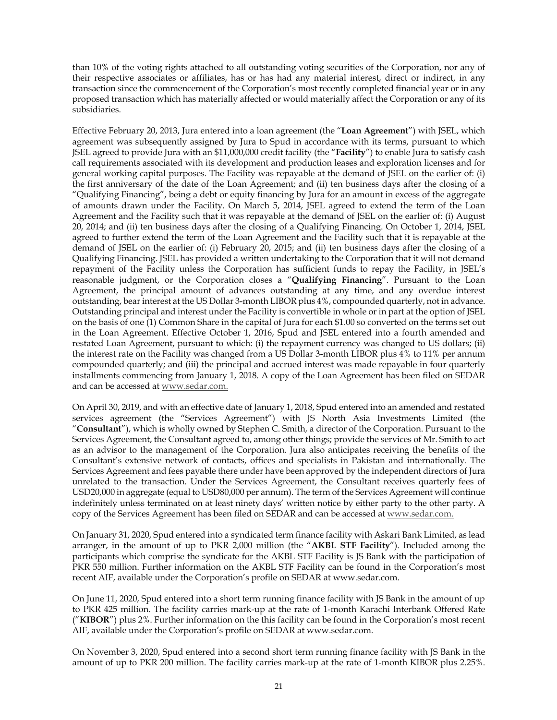than 10% of the voting rights attached to all outstanding voting securities of the Corporation, nor any of their respective associates or affiliates, has or has had any material interest, direct or indirect, in any transaction since the commencement of the Corporation's most recently completed financial year or in any proposed transaction which has materially affected or would materially affect the Corporation or any of its subsidiaries.

Effective February 20, 2013, Jura entered into a loan agreement (the "**Loan Agreement**") with JSEL, which agreement was subsequently assigned by Jura to Spud in accordance with its terms, pursuant to which JSEL agreed to provide Jura with an \$11,000,000 credit facility (the "**Facility**") to enable Jura to satisfy cash call requirements associated with its development and production leases and exploration licenses and for general working capital purposes. The Facility was repayable at the demand of JSEL on the earlier of: (i) the first anniversary of the date of the Loan Agreement; and (ii) ten business days after the closing of a "Qualifying Financing", being a debt or equity financing by Jura for an amount in excess of the aggregate of amounts drawn under the Facility. On March 5, 2014, JSEL agreed to extend the term of the Loan Agreement and the Facility such that it was repayable at the demand of JSEL on the earlier of: (i) August 20, 2014; and (ii) ten business days after the closing of a Qualifying Financing. On October 1, 2014, JSEL agreed to further extend the term of the Loan Agreement and the Facility such that it is repayable at the demand of JSEL on the earlier of: (i) February 20, 2015; and (ii) ten business days after the closing of a Qualifying Financing. JSEL has provided a written undertaking to the Corporation that it will not demand repayment of the Facility unless the Corporation has sufficient funds to repay the Facility, in JSEL's reasonable judgment, or the Corporation closes a "**Qualifying Financing**". Pursuant to the Loan Agreement, the principal amount of advances outstanding at any time, and any overdue interest outstanding, bear interest at the US Dollar 3-month LIBOR plus 4%, compounded quarterly, not in advance. Outstanding principal and interest under the Facility is convertible in whole or in part at the option of JSEL on the basis of one (1) Common Share in the capital of Jura for each \$1.00 so converted on the terms set out in the Loan Agreement. Effective October 1, 2016, Spud and JSEL entered into a fourth amended and restated Loan Agreement, pursuant to which: (i) the repayment currency was changed to US dollars; (ii) the interest rate on the Facility was changed from a US Dollar 3-month LIBOR plus 4% to 11% per annum compounded quarterly; and (iii) the principal and accrued interest was made repayable in four quarterly installments commencing from January 1, 2018. A copy of the Loan Agreement has been filed on SEDAR and can be accessed at www.sedar.com.

On April 30, 2019, and with an effective date of January 1, 2018, Spud entered into an amended and restated services agreement (the "Services Agreement") with JS North Asia Investments Limited (the "**Consultant**"), which is wholly owned by Stephen C. Smith, a director of the Corporation. Pursuant to the Services Agreement, the Consultant agreed to, among other things; provide the services of Mr. Smith to act as an advisor to the management of the Corporation. Jura also anticipates receiving the benefits of the Consultant's extensive network of contacts, offices and specialists in Pakistan and internationally. The Services Agreement and fees payable there under have been approved by the independent directors of Jura unrelated to the transaction. Under the Services Agreement, the Consultant receives quarterly fees of USD20,000 in aggregate (equal to USD80,000 per annum). The term of the Services Agreement will continue indefinitely unless terminated on at least ninety days' written notice by either party to the other party. A copy of the Services Agreement has been filed on SEDAR and can be accessed at www.sedar.com.

On January 31, 2020, Spud entered into a syndicated term finance facility with Askari Bank Limited, as lead arranger, in the amount of up to PKR 2,000 million (the "**AKBL STF Facility**"). Included among the participants which comprise the syndicate for the AKBL STF Facility is JS Bank with the participation of PKR 550 million. Further information on the AKBL STF Facility can be found in the Corporation's most recent AIF, available under the Corporation's profile on SEDAR at www.sedar.com.

On June 11, 2020, Spud entered into a short term running finance facility with JS Bank in the amount of up to PKR 425 million. The facility carries mark-up at the rate of 1-month Karachi Interbank Offered Rate ("**KIBOR**") plus 2%. Further information on the this facility can be found in the Corporation's most recent AIF, available under the Corporation's profile on SEDAR at www.sedar.com.

On November 3, 2020, Spud entered into a second short term running finance facility with JS Bank in the amount of up to PKR 200 million. The facility carries mark-up at the rate of 1-month KIBOR plus 2.25%.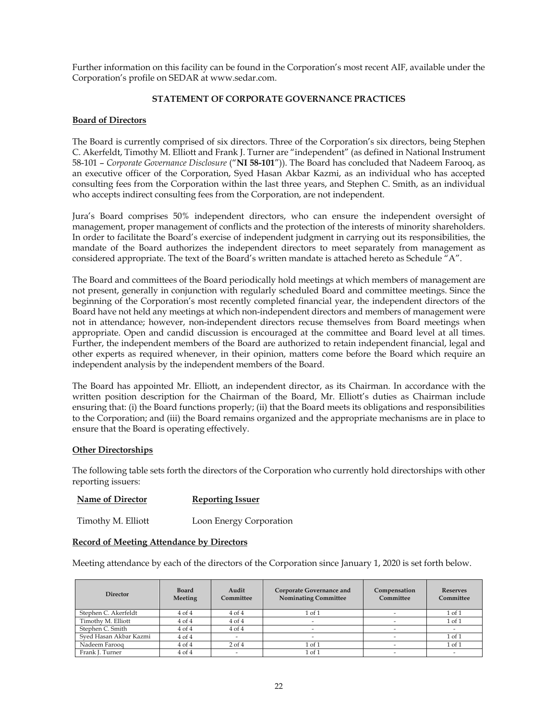Further information on this facility can be found in the Corporation's most recent AIF, available under the Corporation's profile on SEDAR at www.sedar.com.

### **STATEMENT OF CORPORATE GOVERNANCE PRACTICES**

### **Board of Directors**

The Board is currently comprised of six directors. Three of the Corporation's six directors, being Stephen C. Akerfeldt, Timothy M. Elliott and Frank J. Turner are "independent" (as defined in National Instrument 58-101 – *Corporate Governance Disclosure* ("**NI 58-101**")). The Board has concluded that Nadeem Farooq, as an executive officer of the Corporation, Syed Hasan Akbar Kazmi, as an individual who has accepted consulting fees from the Corporation within the last three years, and Stephen C. Smith, as an individual who accepts indirect consulting fees from the Corporation, are not independent.

Jura's Board comprises 50% independent directors, who can ensure the independent oversight of management, proper management of conflicts and the protection of the interests of minority shareholders. In order to facilitate the Board's exercise of independent judgment in carrying out its responsibilities, the mandate of the Board authorizes the independent directors to meet separately from management as considered appropriate. The text of the Board's written mandate is attached hereto as Schedule "A".

The Board and committees of the Board periodically hold meetings at which members of management are not present, generally in conjunction with regularly scheduled Board and committee meetings. Since the beginning of the Corporation's most recently completed financial year, the independent directors of the Board have not held any meetings at which non-independent directors and members of management were not in attendance; however, non-independent directors recuse themselves from Board meetings when appropriate. Open and candid discussion is encouraged at the committee and Board level at all times. Further, the independent members of the Board are authorized to retain independent financial, legal and other experts as required whenever, in their opinion, matters come before the Board which require an independent analysis by the independent members of the Board.

The Board has appointed Mr. Elliott, an independent director, as its Chairman. In accordance with the written position description for the Chairman of the Board, Mr. Elliott's duties as Chairman include ensuring that: (i) the Board functions properly; (ii) that the Board meets its obligations and responsibilities to the Corporation; and (iii) the Board remains organized and the appropriate mechanisms are in place to ensure that the Board is operating effectively.

#### **Other Directorships**

The following table sets forth the directors of the Corporation who currently hold directorships with other reporting issuers:

| <b>Name of Director</b> | Reporting Issuer |
|-------------------------|------------------|
|                         |                  |

Timothy M. Elliott Loon Energy Corporation

#### **Record of Meeting Attendance by Directors**

Meeting attendance by each of the directors of the Corporation since January 1, 2020 is set forth below.

| <b>Director</b>        | <b>Board</b><br>Meeting | Audit<br>Committee | Corporate Governance and<br><b>Nominating Committee</b> | Compensation<br>Committee | <b>Reserves</b><br>Committee |
|------------------------|-------------------------|--------------------|---------------------------------------------------------|---------------------------|------------------------------|
| Stephen C. Akerfeldt   | 4 of 4                  | 4 of 4             | 1 of 1                                                  |                           | $1$ of $1$                   |
| Timothy M. Elliott     | $4$ of $4$              | $4$ of $4$         |                                                         |                           | $1$ of $1$                   |
| Stephen C. Smith       | $4$ of $4$              | $4$ of $4$         |                                                         |                           |                              |
| Sved Hasan Akbar Kazmi | $4$ of $4$              |                    |                                                         |                           | $1$ of $1$                   |
| Nadeem Farooq          | $4$ of $4$              | $2$ of $4$         | 1 of 1                                                  |                           | $1$ of $1$                   |
| Frank J. Turner        | $4$ of $4$              |                    | 1 of 1                                                  |                           | $\overline{\phantom{a}}$     |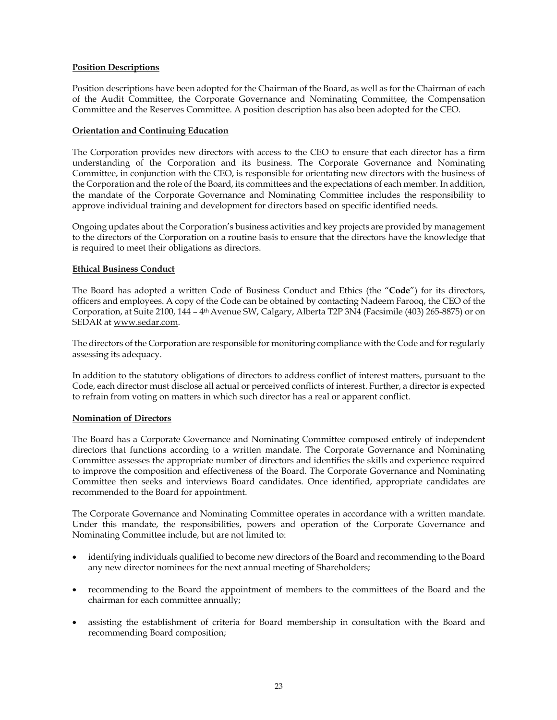# **Position Descriptions**

Position descriptions have been adopted for the Chairman of the Board, as well as for the Chairman of each of the Audit Committee, the Corporate Governance and Nominating Committee, the Compensation Committee and the Reserves Committee. A position description has also been adopted for the CEO.

### **Orientation and Continuing Education**

The Corporation provides new directors with access to the CEO to ensure that each director has a firm understanding of the Corporation and its business. The Corporate Governance and Nominating Committee, in conjunction with the CEO, is responsible for orientating new directors with the business of the Corporation and the role of the Board, its committees and the expectations of each member. In addition, the mandate of the Corporate Governance and Nominating Committee includes the responsibility to approve individual training and development for directors based on specific identified needs.

Ongoing updates about the Corporation's business activities and key projects are provided by management to the directors of the Corporation on a routine basis to ensure that the directors have the knowledge that is required to meet their obligations as directors.

# **Ethical Business Conduct**

The Board has adopted a written Code of Business Conduct and Ethics (the "**Code**") for its directors, officers and employees. A copy of the Code can be obtained by contacting Nadeem Farooq, the CEO of the Corporation, at Suite 2100, 144 – 4th Avenue SW, Calgary, Alberta T2P 3N4 (Facsimile (403) 265-8875) or on SEDAR at www.sedar.com.

The directors of the Corporation are responsible for monitoring compliance with the Code and for regularly assessing its adequacy.

In addition to the statutory obligations of directors to address conflict of interest matters, pursuant to the Code, each director must disclose all actual or perceived conflicts of interest. Further, a director is expected to refrain from voting on matters in which such director has a real or apparent conflict.

#### **Nomination of Directors**

The Board has a Corporate Governance and Nominating Committee composed entirely of independent directors that functions according to a written mandate. The Corporate Governance and Nominating Committee assesses the appropriate number of directors and identifies the skills and experience required to improve the composition and effectiveness of the Board. The Corporate Governance and Nominating Committee then seeks and interviews Board candidates. Once identified, appropriate candidates are recommended to the Board for appointment.

The Corporate Governance and Nominating Committee operates in accordance with a written mandate. Under this mandate, the responsibilities, powers and operation of the Corporate Governance and Nominating Committee include, but are not limited to:

- identifying individuals qualified to become new directors of the Board and recommending to the Board any new director nominees for the next annual meeting of Shareholders;
- recommending to the Board the appointment of members to the committees of the Board and the chairman for each committee annually;
- assisting the establishment of criteria for Board membership in consultation with the Board and recommending Board composition;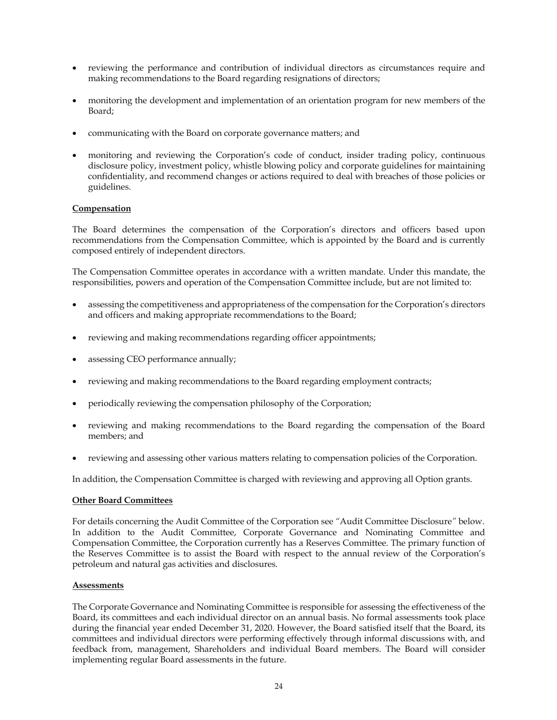- reviewing the performance and contribution of individual directors as circumstances require and making recommendations to the Board regarding resignations of directors;
- monitoring the development and implementation of an orientation program for new members of the Board;
- communicating with the Board on corporate governance matters; and
- monitoring and reviewing the Corporation's code of conduct, insider trading policy, continuous disclosure policy, investment policy, whistle blowing policy and corporate guidelines for maintaining confidentiality, and recommend changes or actions required to deal with breaches of those policies or guidelines.

# **Compensation**

The Board determines the compensation of the Corporation's directors and officers based upon recommendations from the Compensation Committee, which is appointed by the Board and is currently composed entirely of independent directors.

The Compensation Committee operates in accordance with a written mandate. Under this mandate, the responsibilities, powers and operation of the Compensation Committee include, but are not limited to:

- assessing the competitiveness and appropriateness of the compensation for the Corporation's directors and officers and making appropriate recommendations to the Board;
- reviewing and making recommendations regarding officer appointments;
- assessing CEO performance annually;
- reviewing and making recommendations to the Board regarding employment contracts;
- periodically reviewing the compensation philosophy of the Corporation;
- reviewing and making recommendations to the Board regarding the compensation of the Board members; and
- reviewing and assessing other various matters relating to compensation policies of the Corporation.

In addition, the Compensation Committee is charged with reviewing and approving all Option grants.

# **Other Board Committees**

For details concerning the Audit Committee of the Corporation see *"*Audit Committee Disclosure*"* below. In addition to the Audit Committee, Corporate Governance and Nominating Committee and Compensation Committee, the Corporation currently has a Reserves Committee. The primary function of the Reserves Committee is to assist the Board with respect to the annual review of the Corporation's petroleum and natural gas activities and disclosures.

# **Assessments**

The Corporate Governance and Nominating Committee is responsible for assessing the effectiveness of the Board, its committees and each individual director on an annual basis. No formal assessments took place during the financial year ended December 31, 2020. However, the Board satisfied itself that the Board, its committees and individual directors were performing effectively through informal discussions with, and feedback from, management, Shareholders and individual Board members. The Board will consider implementing regular Board assessments in the future.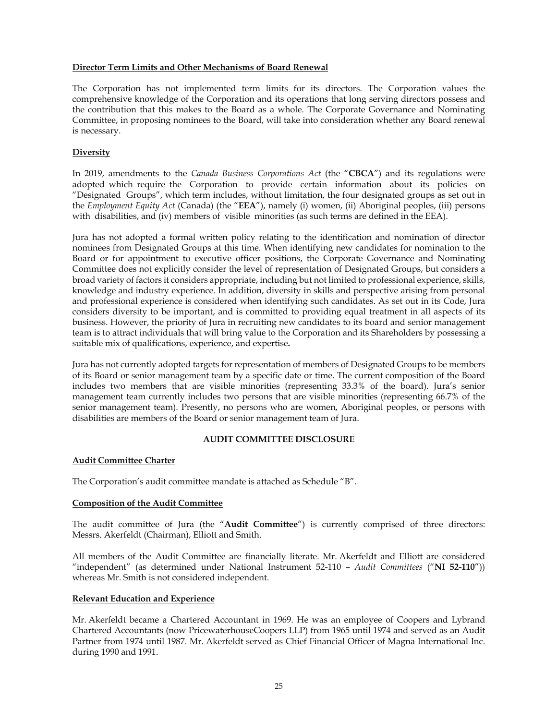## **Director Term Limits and Other Mechanisms of Board Renewal**

The Corporation has not implemented term limits for its directors. The Corporation values the comprehensive knowledge of the Corporation and its operations that long serving directors possess and the contribution that this makes to the Board as a whole. The Corporate Governance and Nominating Committee, in proposing nominees to the Board, will take into consideration whether any Board renewal is necessary.

# **Diversity**

In 2019, amendments to the *Canada Business Corporations Act* (the "**CBCA**") and its regulations were adopted which require the Corporation to provide certain information about its policies on "Designated Groups", which term includes, without limitation, the four designated groups as set out in the *Employment Equity Act* (Canada) (the "**EEA**"), namely (i) women, (ii) Aboriginal peoples, (iii) persons with disabilities, and (iv) members of visible minorities (as such terms are defined in the EEA).

Jura has not adopted a formal written policy relating to the identification and nomination of director nominees from Designated Groups at this time. When identifying new candidates for nomination to the Board or for appointment to executive officer positions, the Corporate Governance and Nominating Committee does not explicitly consider the level of representation of Designated Groups, but considers a broad variety of factors it considers appropriate, including but not limited to professional experience, skills, knowledge and industry experience. In addition, diversity in skills and perspective arising from personal and professional experience is considered when identifying such candidates. As set out in its Code, Jura considers diversity to be important, and is committed to providing equal treatment in all aspects of its business. However, the priority of Jura in recruiting new candidates to its board and senior management team is to attract individuals that will bring value to the Corporation and its Shareholders by possessing a suitable mix of qualifications, experience, and expertise**.** 

Jura has not currently adopted targets for representation of members of Designated Groups to be members of its Board or senior management team by a specific date or time. The current composition of the Board includes two members that are visible minorities (representing 33.3% of the board). Jura's senior management team currently includes two persons that are visible minorities (representing 66.7% of the senior management team). Presently, no persons who are women, Aboriginal peoples, or persons with disabilities are members of the Board or senior management team of Jura.

# **AUDIT COMMITTEE DISCLOSURE**

# **Audit Committee Charter**

The Corporation's audit committee mandate is attached as Schedule "B".

# **Composition of the Audit Committee**

The audit committee of Jura (the "**Audit Committee**") is currently comprised of three directors: Messrs. Akerfeldt (Chairman), Elliott and Smith.

All members of the Audit Committee are financially literate. Mr. Akerfeldt and Elliott are considered "independent" (as determined under National Instrument 52-110 – *Audit Committees* ("**NI 52-110**")) whereas Mr. Smith is not considered independent.

# **Relevant Education and Experience**

Mr. Akerfeldt became a Chartered Accountant in 1969. He was an employee of Coopers and Lybrand Chartered Accountants (now PricewaterhouseCoopers LLP) from 1965 until 1974 and served as an Audit Partner from 1974 until 1987. Mr. Akerfeldt served as Chief Financial Officer of Magna International Inc. during 1990 and 1991.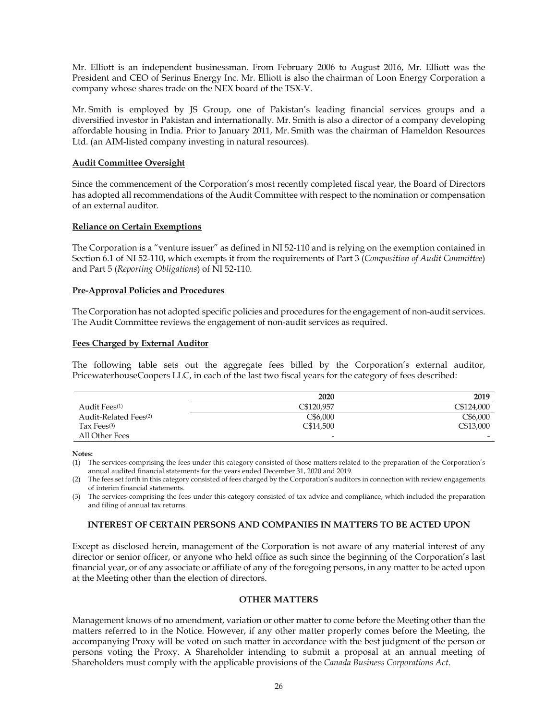Mr. Elliott is an independent businessman. From February 2006 to August 2016, Mr. Elliott was the President and CEO of Serinus Energy Inc. Mr. Elliott is also the chairman of Loon Energy Corporation a company whose shares trade on the NEX board of the TSX-V.

Mr. Smith is employed by JS Group, one of Pakistan's leading financial services groups and a diversified investor in Pakistan and internationally. Mr. Smith is also a director of a company developing affordable housing in India. Prior to January 2011, Mr. Smith was the chairman of Hameldon Resources Ltd. (an AIM-listed company investing in natural resources).

# **Audit Committee Oversight**

Since the commencement of the Corporation's most recently completed fiscal year, the Board of Directors has adopted all recommendations of the Audit Committee with respect to the nomination or compensation of an external auditor.

# **Reliance on Certain Exemptions**

The Corporation is a "venture issuer" as defined in NI 52-110 and is relying on the exemption contained in Section 6.1 of NI 52-110, which exempts it from the requirements of Part 3 (*Composition of Audit Committee*) and Part 5 (*Reporting Obligations*) of NI 52-110.

# **Pre-Approval Policies and Procedures**

The Corporation has not adopted specific policies and procedures for the engagement of non-audit services. The Audit Committee reviews the engagement of non-audit services as required.

# **Fees Charged by External Auditor**

The following table sets out the aggregate fees billed by the Corporation's external auditor, PricewaterhouseCoopers LLC, in each of the last two fiscal years for the category of fees described:

|                                   | 2020           | 2019       |
|-----------------------------------|----------------|------------|
| Audit Fees <sup>(1)</sup>         | C\$120.957     | C\$124,000 |
| Audit-Related Fees <sup>(2)</sup> | C\$6,000       | C\$6,000   |
| Tax Fees $(3)$                    | C\$14,500      | C\$13,000  |
| All Other Fees                    | $\overline{a}$ | -          |

**Notes:** 

(1) The services comprising the fees under this category consisted of those matters related to the preparation of the Corporation's annual audited financial statements for the years ended December 31, 2020 and 2019.

(2) The fees set forth in this category consisted of fees charged by the Corporation's auditors in connection with review engagements of interim financial statements.

(3) The services comprising the fees under this category consisted of tax advice and compliance, which included the preparation and filing of annual tax returns.

# **INTEREST OF CERTAIN PERSONS AND COMPANIES IN MATTERS TO BE ACTED UPON**

Except as disclosed herein, management of the Corporation is not aware of any material interest of any director or senior officer, or anyone who held office as such since the beginning of the Corporation's last financial year, or of any associate or affiliate of any of the foregoing persons, in any matter to be acted upon at the Meeting other than the election of directors.

# **OTHER MATTERS**

Management knows of no amendment, variation or other matter to come before the Meeting other than the matters referred to in the Notice. However, if any other matter properly comes before the Meeting, the accompanying Proxy will be voted on such matter in accordance with the best judgment of the person or persons voting the Proxy. A Shareholder intending to submit a proposal at an annual meeting of Shareholders must comply with the applicable provisions of the *Canada Business Corporations Act*.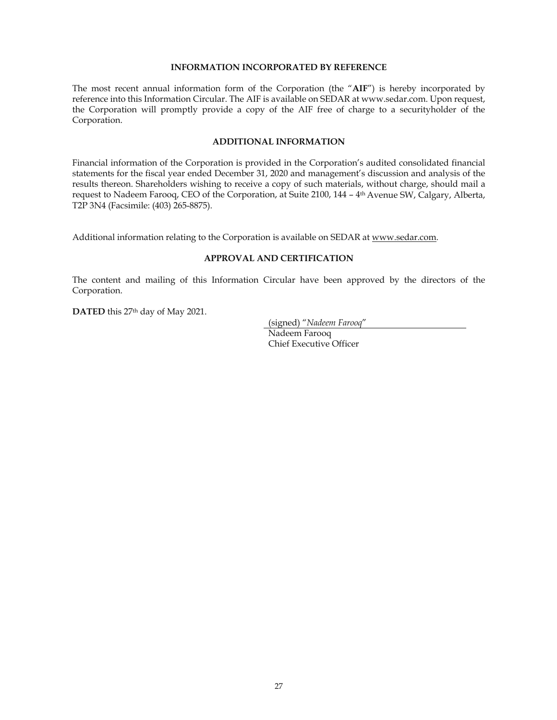### **INFORMATION INCORPORATED BY REFERENCE**

The most recent annual information form of the Corporation (the "**AIF**") is hereby incorporated by reference into this Information Circular. The AIF is available on SEDAR at www.sedar.com. Upon request, the Corporation will promptly provide a copy of the AIF free of charge to a securityholder of the Corporation.

### **ADDITIONAL INFORMATION**

Financial information of the Corporation is provided in the Corporation's audited consolidated financial statements for the fiscal year ended December 31, 2020 and management's discussion and analysis of the results thereon. Shareholders wishing to receive a copy of such materials, without charge, should mail a request to Nadeem Farooq, CEO of the Corporation, at Suite 2100, 144 – 4th Avenue SW, Calgary, Alberta, T2P 3N4 (Facsimile: (403) 265-8875).

Additional information relating to the Corporation is available on SEDAR at www.sedar.com.

### **APPROVAL AND CERTIFICATION**

The content and mailing of this Information Circular have been approved by the directors of the Corporation.

**DATED** this 27th day of May 2021.

(signed) "*Nadeem Farooq*"

Nadeem Farooq Chief Executive Officer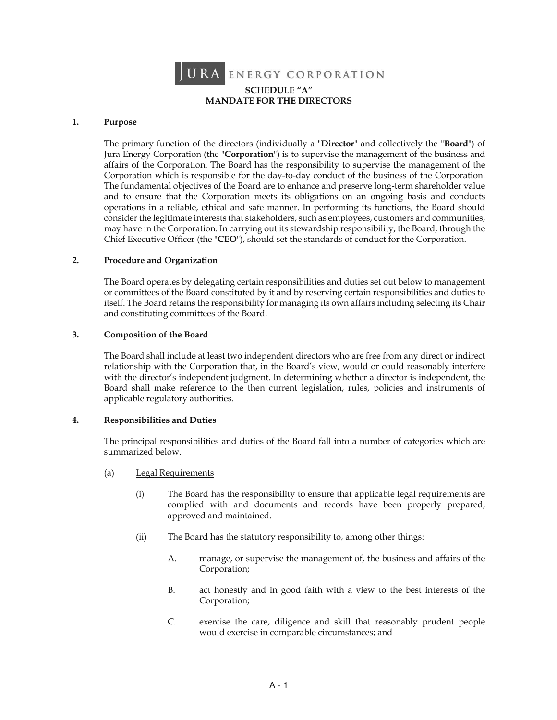

# **SCHEDULE "A" MANDATE FOR THE DIRECTORS**

### **1. Purpose**

The primary function of the directors (individually a "**Director**" and collectively the "**Board**") of Jura Energy Corporation (the "**Corporation**") is to supervise the management of the business and affairs of the Corporation. The Board has the responsibility to supervise the management of the Corporation which is responsible for the day-to-day conduct of the business of the Corporation. The fundamental objectives of the Board are to enhance and preserve long-term shareholder value and to ensure that the Corporation meets its obligations on an ongoing basis and conducts operations in a reliable, ethical and safe manner. In performing its functions, the Board should consider the legitimate interests that stakeholders, such as employees, customers and communities, may have in the Corporation. In carrying out its stewardship responsibility, the Board, through the Chief Executive Officer (the "**CEO**"), should set the standards of conduct for the Corporation.

### **2. Procedure and Organization**

The Board operates by delegating certain responsibilities and duties set out below to management or committees of the Board constituted by it and by reserving certain responsibilities and duties to itself. The Board retains the responsibility for managing its own affairs including selecting its Chair and constituting committees of the Board.

### **3. Composition of the Board**

The Board shall include at least two independent directors who are free from any direct or indirect relationship with the Corporation that, in the Board's view, would or could reasonably interfere with the director's independent judgment. In determining whether a director is independent, the Board shall make reference to the then current legislation, rules, policies and instruments of applicable regulatory authorities.

# **4. Responsibilities and Duties**

The principal responsibilities and duties of the Board fall into a number of categories which are summarized below.

- (a) Legal Requirements
	- (i) The Board has the responsibility to ensure that applicable legal requirements are complied with and documents and records have been properly prepared, approved and maintained.
	- (ii) The Board has the statutory responsibility to, among other things:
		- A. manage, or supervise the management of, the business and affairs of the Corporation;
		- B. act honestly and in good faith with a view to the best interests of the Corporation;
		- C. exercise the care, diligence and skill that reasonably prudent people would exercise in comparable circumstances; and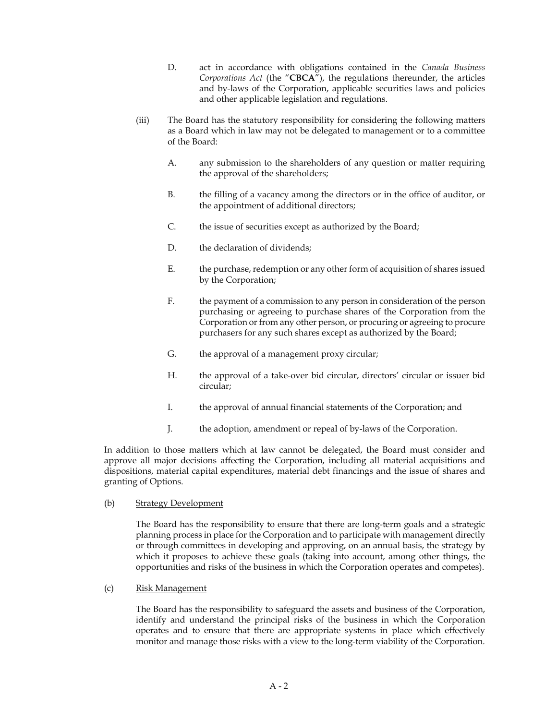- D. act in accordance with obligations contained in the *Canada Business Corporations Act* (the "**CBCA**"), the regulations thereunder, the articles and by-laws of the Corporation, applicable securities laws and policies and other applicable legislation and regulations.
- (iii) The Board has the statutory responsibility for considering the following matters as a Board which in law may not be delegated to management or to a committee of the Board:
	- A. any submission to the shareholders of any question or matter requiring the approval of the shareholders;
	- B. the filling of a vacancy among the directors or in the office of auditor, or the appointment of additional directors;
	- C. the issue of securities except as authorized by the Board;
	- D. the declaration of dividends:
	- E. the purchase, redemption or any other form of acquisition of shares issued by the Corporation;
	- F. the payment of a commission to any person in consideration of the person purchasing or agreeing to purchase shares of the Corporation from the Corporation or from any other person, or procuring or agreeing to procure purchasers for any such shares except as authorized by the Board;
	- G. the approval of a management proxy circular;
	- H. the approval of a take-over bid circular, directors' circular or issuer bid circular;
	- I. the approval of annual financial statements of the Corporation; and
	- J. the adoption, amendment or repeal of by-laws of the Corporation.

In addition to those matters which at law cannot be delegated, the Board must consider and approve all major decisions affecting the Corporation, including all material acquisitions and dispositions, material capital expenditures, material debt financings and the issue of shares and granting of Options.

(b) Strategy Development

The Board has the responsibility to ensure that there are long-term goals and a strategic planning process in place for the Corporation and to participate with management directly or through committees in developing and approving, on an annual basis, the strategy by which it proposes to achieve these goals (taking into account, among other things, the opportunities and risks of the business in which the Corporation operates and competes).

(c) Risk Management

The Board has the responsibility to safeguard the assets and business of the Corporation, identify and understand the principal risks of the business in which the Corporation operates and to ensure that there are appropriate systems in place which effectively monitor and manage those risks with a view to the long-term viability of the Corporation.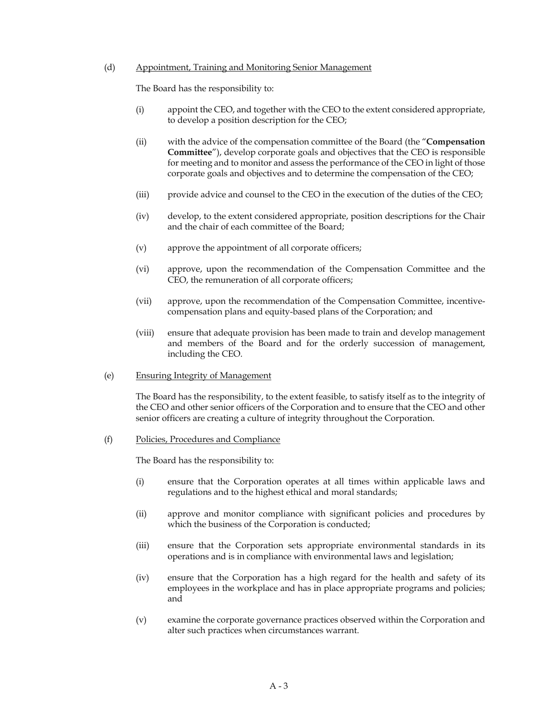### (d) Appointment, Training and Monitoring Senior Management

The Board has the responsibility to:

- (i) appoint the CEO, and together with the CEO to the extent considered appropriate, to develop a position description for the CEO;
- (ii) with the advice of the compensation committee of the Board (the "**Compensation Committee**"), develop corporate goals and objectives that the CEO is responsible for meeting and to monitor and assess the performance of the CEO in light of those corporate goals and objectives and to determine the compensation of the CEO;
- (iii) provide advice and counsel to the CEO in the execution of the duties of the CEO;
- (iv) develop, to the extent considered appropriate, position descriptions for the Chair and the chair of each committee of the Board;
- (v) approve the appointment of all corporate officers;
- (vi) approve, upon the recommendation of the Compensation Committee and the CEO, the remuneration of all corporate officers;
- (vii) approve, upon the recommendation of the Compensation Committee, incentivecompensation plans and equity-based plans of the Corporation; and
- (viii) ensure that adequate provision has been made to train and develop management and members of the Board and for the orderly succession of management, including the CEO.
- (e) Ensuring Integrity of Management

The Board has the responsibility, to the extent feasible, to satisfy itself as to the integrity of the CEO and other senior officers of the Corporation and to ensure that the CEO and other senior officers are creating a culture of integrity throughout the Corporation.

(f) Policies, Procedures and Compliance

The Board has the responsibility to:

- (i) ensure that the Corporation operates at all times within applicable laws and regulations and to the highest ethical and moral standards;
- (ii) approve and monitor compliance with significant policies and procedures by which the business of the Corporation is conducted;
- (iii) ensure that the Corporation sets appropriate environmental standards in its operations and is in compliance with environmental laws and legislation;
- (iv) ensure that the Corporation has a high regard for the health and safety of its employees in the workplace and has in place appropriate programs and policies; and
- (v) examine the corporate governance practices observed within the Corporation and alter such practices when circumstances warrant.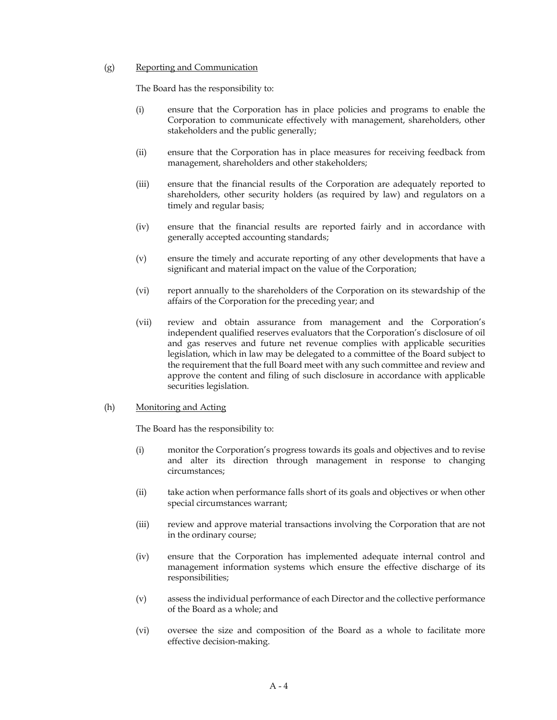## (g) Reporting and Communication

The Board has the responsibility to:

- (i) ensure that the Corporation has in place policies and programs to enable the Corporation to communicate effectively with management, shareholders, other stakeholders and the public generally;
- (ii) ensure that the Corporation has in place measures for receiving feedback from management, shareholders and other stakeholders;
- (iii) ensure that the financial results of the Corporation are adequately reported to shareholders, other security holders (as required by law) and regulators on a timely and regular basis;
- (iv) ensure that the financial results are reported fairly and in accordance with generally accepted accounting standards;
- (v) ensure the timely and accurate reporting of any other developments that have a significant and material impact on the value of the Corporation;
- (vi) report annually to the shareholders of the Corporation on its stewardship of the affairs of the Corporation for the preceding year; and
- (vii) review and obtain assurance from management and the Corporation's independent qualified reserves evaluators that the Corporation's disclosure of oil and gas reserves and future net revenue complies with applicable securities legislation, which in law may be delegated to a committee of the Board subject to the requirement that the full Board meet with any such committee and review and approve the content and filing of such disclosure in accordance with applicable securities legislation.

# (h) Monitoring and Acting

The Board has the responsibility to:

- (i) monitor the Corporation's progress towards its goals and objectives and to revise and alter its direction through management in response to changing circumstances;
- (ii) take action when performance falls short of its goals and objectives or when other special circumstances warrant;
- (iii) review and approve material transactions involving the Corporation that are not in the ordinary course;
- (iv) ensure that the Corporation has implemented adequate internal control and management information systems which ensure the effective discharge of its responsibilities;
- (v) assess the individual performance of each Director and the collective performance of the Board as a whole; and
- (vi) oversee the size and composition of the Board as a whole to facilitate more effective decision-making.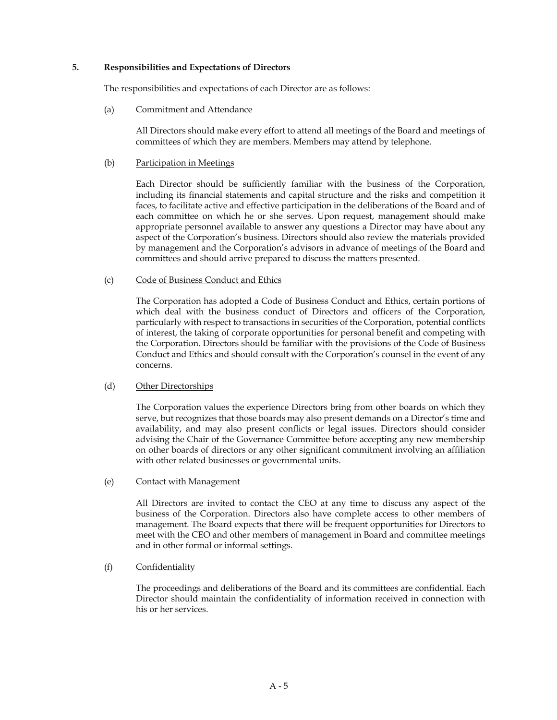# **5. Responsibilities and Expectations of Directors**

The responsibilities and expectations of each Director are as follows:

(a) Commitment and Attendance

All Directors should make every effort to attend all meetings of the Board and meetings of committees of which they are members. Members may attend by telephone.

### (b) Participation in Meetings

Each Director should be sufficiently familiar with the business of the Corporation, including its financial statements and capital structure and the risks and competition it faces, to facilitate active and effective participation in the deliberations of the Board and of each committee on which he or she serves. Upon request, management should make appropriate personnel available to answer any questions a Director may have about any aspect of the Corporation's business. Directors should also review the materials provided by management and the Corporation's advisors in advance of meetings of the Board and committees and should arrive prepared to discuss the matters presented.

# (c) Code of Business Conduct and Ethics

The Corporation has adopted a Code of Business Conduct and Ethics, certain portions of which deal with the business conduct of Directors and officers of the Corporation, particularly with respect to transactions in securities of the Corporation, potential conflicts of interest, the taking of corporate opportunities for personal benefit and competing with the Corporation. Directors should be familiar with the provisions of the Code of Business Conduct and Ethics and should consult with the Corporation's counsel in the event of any concerns.

### (d) Other Directorships

The Corporation values the experience Directors bring from other boards on which they serve, but recognizes that those boards may also present demands on a Director's time and availability, and may also present conflicts or legal issues. Directors should consider advising the Chair of the Governance Committee before accepting any new membership on other boards of directors or any other significant commitment involving an affiliation with other related businesses or governmental units.

#### (e) Contact with Management

All Directors are invited to contact the CEO at any time to discuss any aspect of the business of the Corporation. Directors also have complete access to other members of management. The Board expects that there will be frequent opportunities for Directors to meet with the CEO and other members of management in Board and committee meetings and in other formal or informal settings.

# (f) Confidentiality

The proceedings and deliberations of the Board and its committees are confidential. Each Director should maintain the confidentiality of information received in connection with his or her services.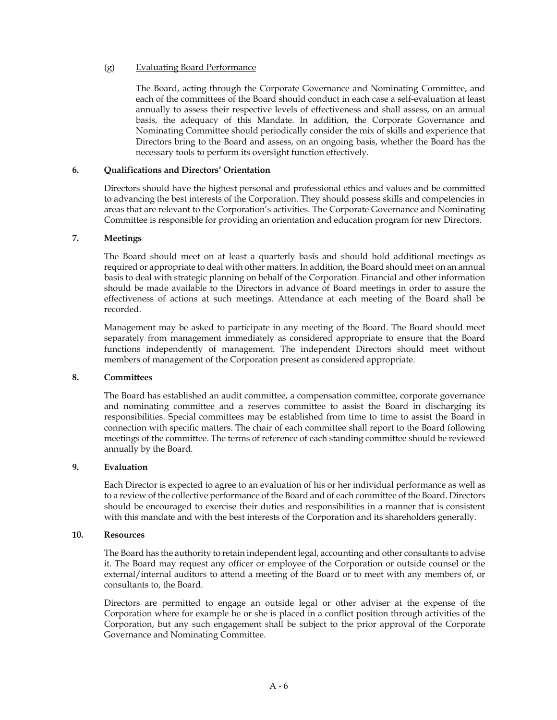### (g) Evaluating Board Performance

The Board, acting through the Corporate Governance and Nominating Committee, and each of the committees of the Board should conduct in each case a self-evaluation at least annually to assess their respective levels of effectiveness and shall assess, on an annual basis, the adequacy of this Mandate. In addition, the Corporate Governance and Nominating Committee should periodically consider the mix of skills and experience that Directors bring to the Board and assess, on an ongoing basis, whether the Board has the necessary tools to perform its oversight function effectively.

### **6. Qualifications and Directors' Orientation**

Directors should have the highest personal and professional ethics and values and be committed to advancing the best interests of the Corporation. They should possess skills and competencies in areas that are relevant to the Corporation's activities. The Corporate Governance and Nominating Committee is responsible for providing an orientation and education program for new Directors.

#### **7. Meetings**

The Board should meet on at least a quarterly basis and should hold additional meetings as required or appropriate to deal with other matters. In addition, the Board should meet on an annual basis to deal with strategic planning on behalf of the Corporation. Financial and other information should be made available to the Directors in advance of Board meetings in order to assure the effectiveness of actions at such meetings. Attendance at each meeting of the Board shall be recorded.

Management may be asked to participate in any meeting of the Board. The Board should meet separately from management immediately as considered appropriate to ensure that the Board functions independently of management. The independent Directors should meet without members of management of the Corporation present as considered appropriate.

#### **8. Committees**

The Board has established an audit committee, a compensation committee, corporate governance and nominating committee and a reserves committee to assist the Board in discharging its responsibilities. Special committees may be established from time to time to assist the Board in connection with specific matters. The chair of each committee shall report to the Board following meetings of the committee. The terms of reference of each standing committee should be reviewed annually by the Board.

# **9. Evaluation**

Each Director is expected to agree to an evaluation of his or her individual performance as well as to a review of the collective performance of the Board and of each committee of the Board. Directors should be encouraged to exercise their duties and responsibilities in a manner that is consistent with this mandate and with the best interests of the Corporation and its shareholders generally.

#### **10. Resources**

The Board has the authority to retain independent legal, accounting and other consultants to advise it. The Board may request any officer or employee of the Corporation or outside counsel or the external/internal auditors to attend a meeting of the Board or to meet with any members of, or consultants to, the Board.

Directors are permitted to engage an outside legal or other adviser at the expense of the Corporation where for example he or she is placed in a conflict position through activities of the Corporation, but any such engagement shall be subject to the prior approval of the Corporate Governance and Nominating Committee.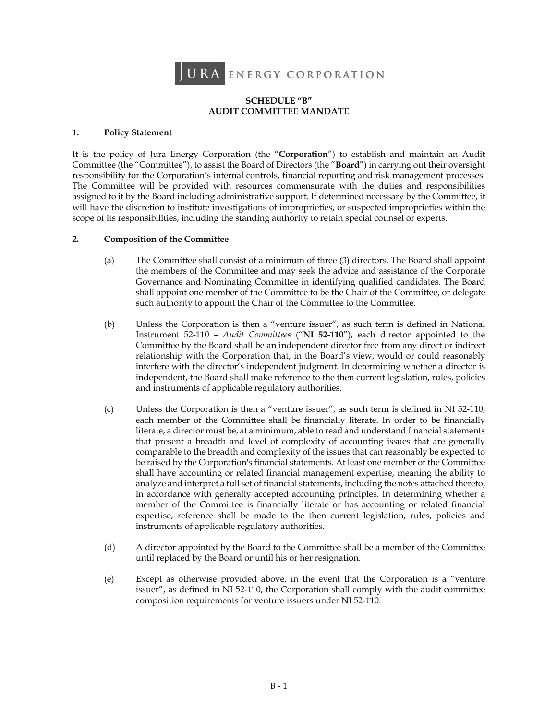

# **SCHEDULE "B" AUDIT COMMITTEE MANDATE**

# **1. Policy Statement**

It is the policy of Jura Energy Corporation (the "**Corporation**") to establish and maintain an Audit Committee (the "Committee"), to assist the Board of Directors (the "**Board**") in carrying out their oversight responsibility for the Corporation's internal controls, financial reporting and risk management processes. The Committee will be provided with resources commensurate with the duties and responsibilities assigned to it by the Board including administrative support. If determined necessary by the Committee, it will have the discretion to institute investigations of improprieties, or suspected improprieties within the scope of its responsibilities, including the standing authority to retain special counsel or experts.

# **2. Composition of the Committee**

- (a) The Committee shall consist of a minimum of three (3) directors. The Board shall appoint the members of the Committee and may seek the advice and assistance of the Corporate Governance and Nominating Committee in identifying qualified candidates. The Board shall appoint one member of the Committee to be the Chair of the Committee, or delegate such authority to appoint the Chair of the Committee to the Committee.
- (b) Unless the Corporation is then a "venture issuer", as such term is defined in National Instrument 52-110 – *Audit Committees* ("**NI 52-110**"), each director appointed to the Committee by the Board shall be an independent director free from any direct or indirect relationship with the Corporation that, in the Board's view, would or could reasonably interfere with the director's independent judgment. In determining whether a director is independent, the Board shall make reference to the then current legislation, rules, policies and instruments of applicable regulatory authorities.
- (c) Unless the Corporation is then a "venture issuer", as such term is defined in NI 52-110, each member of the Committee shall be financially literate. In order to be financially literate, a director must be, at a minimum, able to read and understand financial statements that present a breadth and level of complexity of accounting issues that are generally comparable to the breadth and complexity of the issues that can reasonably be expected to be raised by the Corporation's financial statements. At least one member of the Committee shall have accounting or related financial management expertise, meaning the ability to analyze and interpret a full set of financial statements, including the notes attached thereto, in accordance with generally accepted accounting principles. In determining whether a member of the Committee is financially literate or has accounting or related financial expertise, reference shall be made to the then current legislation, rules, policies and instruments of applicable regulatory authorities.
- (d) A director appointed by the Board to the Committee shall be a member of the Committee until replaced by the Board or until his or her resignation.
- (e) Except as otherwise provided above, in the event that the Corporation is a "venture issuer", as defined in NI 52-110, the Corporation shall comply with the audit committee composition requirements for venture issuers under NI 52-110.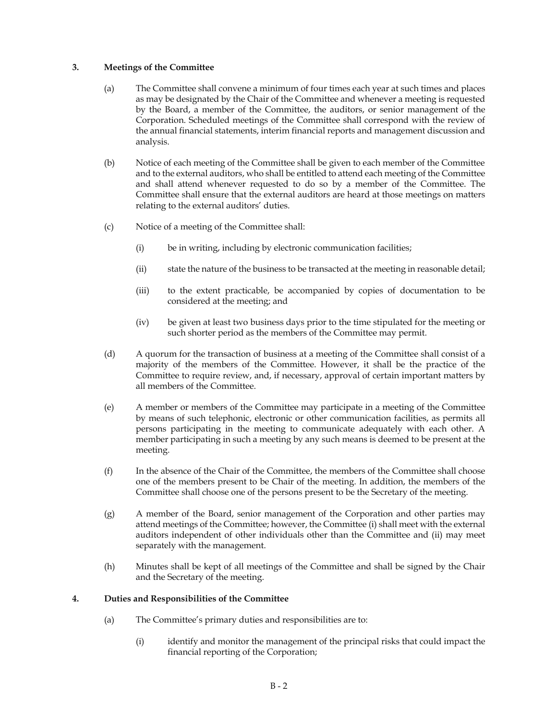# **3. Meetings of the Committee**

- (a) The Committee shall convene a minimum of four times each year at such times and places as may be designated by the Chair of the Committee and whenever a meeting is requested by the Board, a member of the Committee, the auditors, or senior management of the Corporation. Scheduled meetings of the Committee shall correspond with the review of the annual financial statements, interim financial reports and management discussion and analysis.
- (b) Notice of each meeting of the Committee shall be given to each member of the Committee and to the external auditors, who shall be entitled to attend each meeting of the Committee and shall attend whenever requested to do so by a member of the Committee. The Committee shall ensure that the external auditors are heard at those meetings on matters relating to the external auditors' duties.
- (c) Notice of a meeting of the Committee shall:
	- (i) be in writing, including by electronic communication facilities;
	- (ii) state the nature of the business to be transacted at the meeting in reasonable detail;
	- (iii) to the extent practicable, be accompanied by copies of documentation to be considered at the meeting; and
	- (iv) be given at least two business days prior to the time stipulated for the meeting or such shorter period as the members of the Committee may permit.
- (d) A quorum for the transaction of business at a meeting of the Committee shall consist of a majority of the members of the Committee. However, it shall be the practice of the Committee to require review, and, if necessary, approval of certain important matters by all members of the Committee.
- (e) A member or members of the Committee may participate in a meeting of the Committee by means of such telephonic, electronic or other communication facilities, as permits all persons participating in the meeting to communicate adequately with each other. A member participating in such a meeting by any such means is deemed to be present at the meeting.
- (f) In the absence of the Chair of the Committee, the members of the Committee shall choose one of the members present to be Chair of the meeting. In addition, the members of the Committee shall choose one of the persons present to be the Secretary of the meeting.
- (g) A member of the Board, senior management of the Corporation and other parties may attend meetings of the Committee; however, the Committee (i) shall meet with the external auditors independent of other individuals other than the Committee and (ii) may meet separately with the management.
- (h) Minutes shall be kept of all meetings of the Committee and shall be signed by the Chair and the Secretary of the meeting.

# **4. Duties and Responsibilities of the Committee**

- (a) The Committee's primary duties and responsibilities are to:
	- (i) identify and monitor the management of the principal risks that could impact the financial reporting of the Corporation;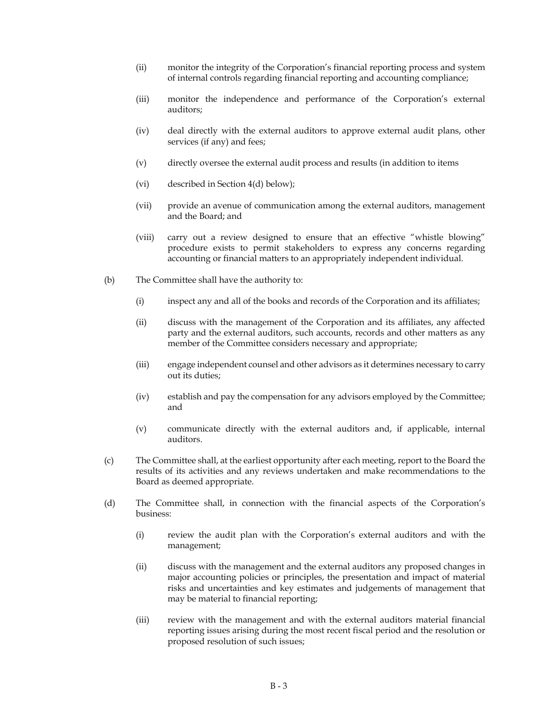- (ii) monitor the integrity of the Corporation's financial reporting process and system of internal controls regarding financial reporting and accounting compliance;
- (iii) monitor the independence and performance of the Corporation's external auditors;
- (iv) deal directly with the external auditors to approve external audit plans, other services (if any) and fees;
- (v) directly oversee the external audit process and results (in addition to items
- (vi) described in Section 4(d) below);
- (vii) provide an avenue of communication among the external auditors, management and the Board; and
- (viii) carry out a review designed to ensure that an effective "whistle blowing" procedure exists to permit stakeholders to express any concerns regarding accounting or financial matters to an appropriately independent individual.
- (b) The Committee shall have the authority to:
	- (i) inspect any and all of the books and records of the Corporation and its affiliates;
	- (ii) discuss with the management of the Corporation and its affiliates, any affected party and the external auditors, such accounts, records and other matters as any member of the Committee considers necessary and appropriate;
	- (iii) engage independent counsel and other advisors as it determines necessary to carry out its duties;
	- (iv) establish and pay the compensation for any advisors employed by the Committee; and
	- (v) communicate directly with the external auditors and, if applicable, internal auditors.
- (c) The Committee shall, at the earliest opportunity after each meeting, report to the Board the results of its activities and any reviews undertaken and make recommendations to the Board as deemed appropriate.
- (d) The Committee shall, in connection with the financial aspects of the Corporation's business:
	- (i) review the audit plan with the Corporation's external auditors and with the management;
	- (ii) discuss with the management and the external auditors any proposed changes in major accounting policies or principles, the presentation and impact of material risks and uncertainties and key estimates and judgements of management that may be material to financial reporting;
	- (iii) review with the management and with the external auditors material financial reporting issues arising during the most recent fiscal period and the resolution or proposed resolution of such issues;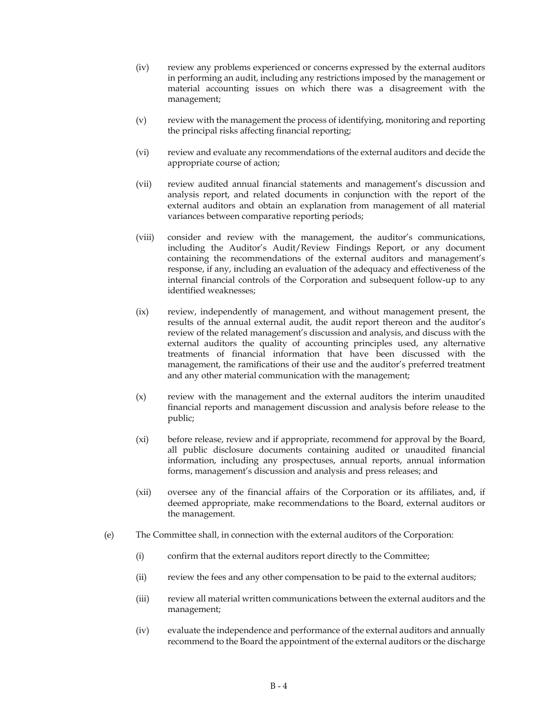- (iv) review any problems experienced or concerns expressed by the external auditors in performing an audit, including any restrictions imposed by the management or material accounting issues on which there was a disagreement with the management;
- (v) review with the management the process of identifying, monitoring and reporting the principal risks affecting financial reporting;
- (vi) review and evaluate any recommendations of the external auditors and decide the appropriate course of action;
- (vii) review audited annual financial statements and management's discussion and analysis report, and related documents in conjunction with the report of the external auditors and obtain an explanation from management of all material variances between comparative reporting periods;
- (viii) consider and review with the management, the auditor's communications, including the Auditor's Audit/Review Findings Report, or any document containing the recommendations of the external auditors and management's response, if any, including an evaluation of the adequacy and effectiveness of the internal financial controls of the Corporation and subsequent follow-up to any identified weaknesses;
- (ix) review, independently of management, and without management present, the results of the annual external audit, the audit report thereon and the auditor's review of the related management's discussion and analysis, and discuss with the external auditors the quality of accounting principles used, any alternative treatments of financial information that have been discussed with the management, the ramifications of their use and the auditor's preferred treatment and any other material communication with the management;
- (x) review with the management and the external auditors the interim unaudited financial reports and management discussion and analysis before release to the public;
- (xi) before release, review and if appropriate, recommend for approval by the Board, all public disclosure documents containing audited or unaudited financial information, including any prospectuses, annual reports, annual information forms, management's discussion and analysis and press releases; and
- (xii) oversee any of the financial affairs of the Corporation or its affiliates, and, if deemed appropriate, make recommendations to the Board, external auditors or the management.
- (e) The Committee shall, in connection with the external auditors of the Corporation:
	- (i) confirm that the external auditors report directly to the Committee;
	- (ii) review the fees and any other compensation to be paid to the external auditors;
	- (iii) review all material written communications between the external auditors and the management;
	- (iv) evaluate the independence and performance of the external auditors and annually recommend to the Board the appointment of the external auditors or the discharge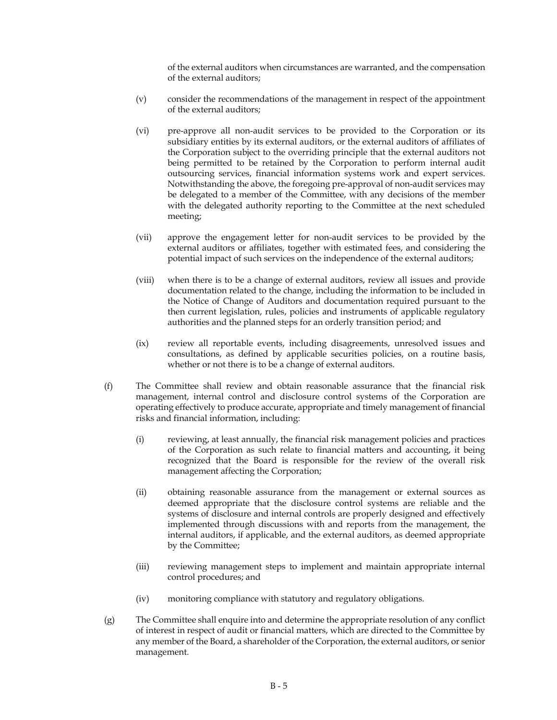of the external auditors when circumstances are warranted, and the compensation of the external auditors;

- (v) consider the recommendations of the management in respect of the appointment of the external auditors;
- (vi) pre-approve all non-audit services to be provided to the Corporation or its subsidiary entities by its external auditors, or the external auditors of affiliates of the Corporation subject to the overriding principle that the external auditors not being permitted to be retained by the Corporation to perform internal audit outsourcing services, financial information systems work and expert services. Notwithstanding the above, the foregoing pre-approval of non-audit services may be delegated to a member of the Committee, with any decisions of the member with the delegated authority reporting to the Committee at the next scheduled meeting;
- (vii) approve the engagement letter for non-audit services to be provided by the external auditors or affiliates, together with estimated fees, and considering the potential impact of such services on the independence of the external auditors;
- (viii) when there is to be a change of external auditors, review all issues and provide documentation related to the change, including the information to be included in the Notice of Change of Auditors and documentation required pursuant to the then current legislation, rules, policies and instruments of applicable regulatory authorities and the planned steps for an orderly transition period; and
- (ix) review all reportable events, including disagreements, unresolved issues and consultations, as defined by applicable securities policies, on a routine basis, whether or not there is to be a change of external auditors.
- (f) The Committee shall review and obtain reasonable assurance that the financial risk management, internal control and disclosure control systems of the Corporation are operating effectively to produce accurate, appropriate and timely management of financial risks and financial information, including:
	- (i) reviewing, at least annually, the financial risk management policies and practices of the Corporation as such relate to financial matters and accounting, it being recognized that the Board is responsible for the review of the overall risk management affecting the Corporation;
	- (ii) obtaining reasonable assurance from the management or external sources as deemed appropriate that the disclosure control systems are reliable and the systems of disclosure and internal controls are properly designed and effectively implemented through discussions with and reports from the management, the internal auditors, if applicable, and the external auditors, as deemed appropriate by the Committee;
	- (iii) reviewing management steps to implement and maintain appropriate internal control procedures; and
	- (iv) monitoring compliance with statutory and regulatory obligations.
- (g) The Committee shall enquire into and determine the appropriate resolution of any conflict of interest in respect of audit or financial matters, which are directed to the Committee by any member of the Board, a shareholder of the Corporation, the external auditors, or senior management.